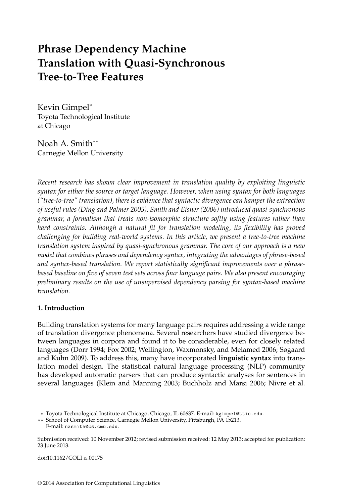# **Phrase Dependency Machine Translation with Quasi-Synchronous Tree-to-Tree Features**

Kevin Gimpel<sup>∗</sup> Toyota Technological Institute at Chicago

Noah A. Smith∗∗ Carnegie Mellon University

*Recent research has shown clear improvement in translation quality by exploiting linguistic syntax for either the source or target language. However, when using syntax for both languages ("tree-to-tree" translation), there is evidence that syntactic divergence can hamper the extraction of useful rules (Ding and Palmer 2005). Smith and Eisner (2006) introduced quasi-synchronous grammar, a formalism that treats non-isomorphic structure softly using features rather than hard constraints. Although a natural fit for translation modeling, its flexibility has proved challenging for building real-world systems. In this article, we present a tree-to-tree machine translation system inspired by quasi-synchronous grammar. The core of our approach is a new model that combines phrases and dependency syntax, integrating the advantages of phrase-based and syntax-based translation. We report statistically significant improvements over a phrasebased baseline on five of seven test sets across four language pairs. We also present encouraging preliminary results on the use of unsupervised dependency parsing for syntax-based machine translation.*

# **1. Introduction**

Building translation systems for many language pairs requires addressing a wide range of translation divergence phenomena. Several researchers have studied divergence between languages in corpora and found it to be considerable, even for closely related languages (Dorr 1994; Fox 2002; Wellington, Waxmonsky, and Melamed 2006; Søgaard and Kuhn 2009). To address this, many have incorporated **linguistic syntax** into translation model design. The statistical natural language processing (NLP) community has developed automatic parsers that can produce syntactic analyses for sentences in several languages (Klein and Manning 2003; Buchholz and Marsi 2006; Nivre et al.

doi:10.1162/COLI\_a\_00175

<sup>∗</sup> Toyota Technological Institute at Chicago, Chicago, IL 60637. E-mail: kgimpel@ttic.edu.

<sup>∗∗</sup> School of Computer Science, Carnegie Mellon University, Pittsburgh, PA 15213. E-mail: nasmith@cs.cmu.edu.

Submission received: 10 November 2012; revised submission received: 12 May 2013; accepted for publication: 23 June 2013.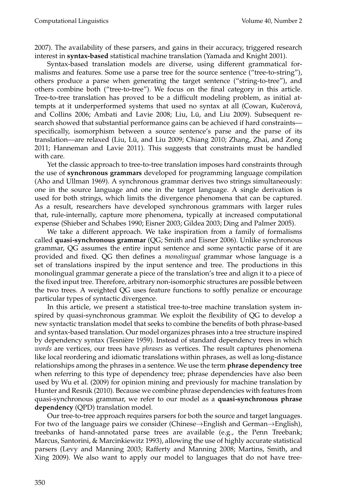2007). The availability of these parsers, and gains in their accuracy, triggered research interest in **syntax-based** statistical machine translation (Yamada and Knight 2001).

Syntax-based translation models are diverse, using different grammatical formalisms and features. Some use a parse tree for the source sentence ("tree-to-string"), others produce a parse when generating the target sentence ("string-to-tree"), and others combine both ("tree-to-tree"). We focus on the final category in this article. Tree-to-tree translation has proved to be a difficult modeling problem, as initial attempts at it underperformed systems that used no syntax at all (Cowan, Kučerová, and Collins 2006; Ambati and Lavie 2008; Liu, Lü, and Liu 2009). Subsequent research showed that substantial performance gains can be achieved if hard constraints specifically, isomorphism between a source sentence's parse and the parse of its translation—are relaxed (Liu, Lü, and Liu 2009; Chiang 2010; Zhang, Zhai, and Zong 2011; Hanneman and Lavie 2011). This suggests that constraints must be handled with care.

Yet the classic approach to tree-to-tree translation imposes hard constraints through the use of **synchronous grammars** developed for programming language compilation (Aho and Ullman 1969). A synchronous grammar derives two strings simultaneously: one in the source language and one in the target language. A single derivation is used for both strings, which limits the divergence phenomena that can be captured. As a result, researchers have developed synchronous grammars with larger rules that, rule-internally, capture more phenomena, typically at increased computational expense (Shieber and Schabes 1990; Eisner 2003; Gildea 2003; Ding and Palmer 2005).

We take a different approach. We take inspiration from a family of formalisms called **quasi-synchronous grammar** (QG; Smith and Eisner 2006). Unlike synchronous grammar, QG assumes the entire input sentence and some syntactic parse of it are provided and fixed. QG then defines a *monolingual* grammar whose language is a set of translations inspired by the input sentence and tree. The productions in this monolingual grammar generate a piece of the translation's tree and align it to a piece of the fixed input tree. Therefore, arbitrary non-isomorphic structures are possible between the two trees. A weighted QG uses feature functions to softly penalize or encourage particular types of syntactic divergence.

In this article, we present a statistical tree-to-tree machine translation system inspired by quasi-synchronous grammar. We exploit the flexibility of QG to develop a new syntactic translation model that seeks to combine the benefits of both phrase-based and syntax-based translation. Our model organizes phrases into a tree structure inspired by dependency syntax (Tesnière 1959). Instead of standard dependency trees in which *words* are vertices, our trees have *phrases* as vertices. The result captures phenomena like local reordering and idiomatic translations within phrases, as well as long-distance relationships among the phrases in a sentence. We use the term **phrase dependency tree** when referring to this type of dependency tree; phrase dependencies have also been used by Wu et al. (2009) for opinion mining and previously for machine translation by Hunter and Resnik (2010). Because we combine phrase dependencies with features from quasi-synchronous grammar, we refer to our model as a **quasi-synchronous phrase dependency** (QPD) translation model.

Our tree-to-tree approach requires parsers for both the source and target languages. For two of the language pairs we consider (Chinese→English and German→English), treebanks of hand-annotated parse trees are available (e.g., the Penn Treebank; Marcus, Santorini, & Marcinkiewitz 1993), allowing the use of highly accurate statistical parsers (Levy and Manning 2003; Rafferty and Manning 2008; Martins, Smith, and Xing 2009). We also want to apply our model to languages that do not have tree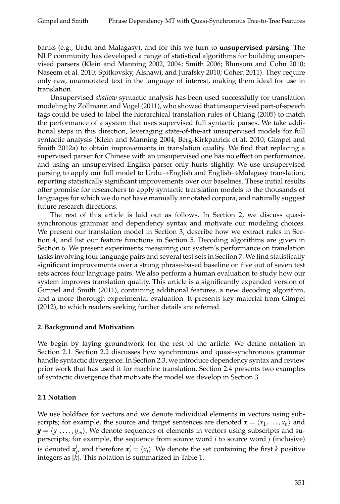banks (e.g., Urdu and Malagasy), and for this we turn to **unsupervised parsing**. The NLP community has developed a range of statistical algorithms for building unsupervised parsers (Klein and Manning 2002, 2004; Smith 2006; Blunsom and Cohn 2010; Naseem et al. 2010; Spitkovsky, Alshawi, and Jurafsky 2010; Cohen 2011). They require only raw, unannotated text in the language of interest, making them ideal for use in translation.

Unsupervised *shallow* syntactic analysis has been used successfully for translation modeling by Zollmann and Vogel (2011), who showed that unsupervised part-of-speech tags could be used to label the hierarchical translation rules of Chiang (2005) to match the performance of a system that uses supervised full syntactic parses. We take additional steps in this direction, leveraging state-of-the-art unsupervised models for full syntactic analysis (Klein and Manning 2004; Berg-Kirkpatrick et al. 2010; Gimpel and Smith 2012a) to obtain improvements in translation quality. We find that replacing a supervised parser for Chinese with an unsupervised one has no effect on performance, and using an unsupervised English parser only hurts slightly. We use unsupervised parsing to apply our full model to Urdu→English and English→Malagasy translation, reporting statistically significant improvements over our baselines. These initial results offer promise for researchers to apply syntactic translation models to the thousands of languages for which we do not have manually annotated corpora, and naturally suggest future research directions.

The rest of this article is laid out as follows. In Section 2, we discuss quasisynchronous grammar and dependency syntax and motivate our modeling choices. We present our translation model in Section 3, describe how we extract rules in Section 4, and list our feature functions in Section 5. Decoding algorithms are given in Section 6. We present experiments measuring our system's performance on translation tasks involving four language pairs and several test sets in Section 7. We find statistically significant improvements over a strong phrase-based baseline on five out of seven test sets across four language pairs. We also perform a human evaluation to study how our system improves translation quality. This article is a significantly expanded version of Gimpel and Smith (2011), containing additional features, a new decoding algorithm, and a more thorough experimental evaluation. It presents key material from Gimpel (2012), to which readers seeking further details are referred.

# **2. Background and Motivation**

We begin by laying groundwork for the rest of the article. We define notation in Section 2.1. Section 2.2 discusses how synchronous and quasi-synchronous grammar handle syntactic divergence. In Section 2.3, we introduce dependency syntax and review prior work that has used it for machine translation. Section 2.4 presents two examples of syntactic divergence that motivate the model we develop in Section 3.

# **2.1 Notation**

We use boldface for vectors and we denote individual elements in vectors using subscripts; for example, the source and target sentences are denoted  $\boldsymbol{x} = \langle x_1, \dots, x_n \rangle$  and  $\textbf{\textit{y}}=\langle y_1, \ldots, y_m \rangle$ . We denote sequences of elements in vectors using subscripts and superscripts; for example, the sequence from source word *i* to source word *j* (inclusive) is denoted  $\pmb{x}^j_i$  $\mathbf{x}_i^j$  and therefore  $\mathbf{x}_i^i = \langle x_i \rangle$ . We denote the set containing the first *k* positive integers as [*k*]. This notation is summarized in Table 1.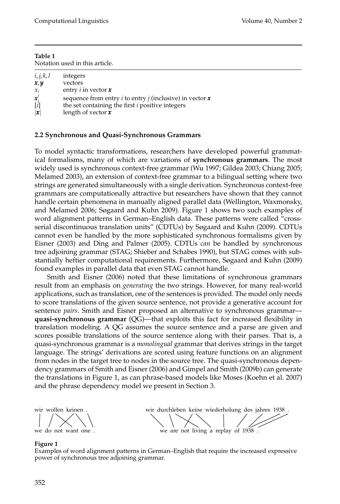| Table 1                        |  |
|--------------------------------|--|
| Notation used in this article. |  |

| i, j, k, l          | integers                                                                              |
|---------------------|---------------------------------------------------------------------------------------|
| x, y                | vectors                                                                               |
| $\mathcal{X}_i$     | entry i in vector $\boldsymbol{x}$                                                    |
| $\boldsymbol{x}'_i$ | sequence from entry <i>i</i> to entry <i>j</i> (inclusive) in vector $\boldsymbol{x}$ |
| [i]                 | the set containing the first <i>i</i> positive integers                               |
| x                   | length of vector $x$                                                                  |

### **2.2 Synchronous and Quasi-Synchronous Grammars**

To model syntactic transformations, researchers have developed powerful grammatical formalisms, many of which are variations of **synchronous grammars**. The most widely used is synchronous context-free grammar (Wu 1997; Gildea 2003; Chiang 2005; Melamed 2003), an extension of context-free grammar to a bilingual setting where two strings are generated simultaneously with a single derivation. Synchronous context-free grammars are computationally attractive but researchers have shown that they cannot handle certain phenomena in manually aligned parallel data (Wellington, Waxmonsky, and Melamed 2006; Søgaard and Kuhn 2009). Figure 1 shows two such examples of word alignment patterns in German–English data. These patterns were called "crossserial discontinuous translation units" (CDTUs) by Søgaard and Kuhn (2009). CDTUs cannot even be handled by the more sophisticated synchronous formalisms given by Eisner (2003) and Ding and Palmer (2005). CDTUs *can* be handled by synchronous tree adjoining grammar (STAG; Shieber and Schabes 1990), but STAG comes with substantially heftier computational requirements. Furthermore, Søgaard and Kuhn (2009) found examples in parallel data that even STAG cannot handle.

Smith and Eisner (2006) noted that these limitations of synchronous grammars result from an emphasis on *generating* the two strings. However, for many real-world applications, such as translation, one of the sentences is provided. The model only needs to score translations of the given source sentence, not provide a generative account for sentence *pairs*. Smith and Eisner proposed an alternative to synchronous grammar **quasi-synchronous grammar** (QG)—that exploits this fact for increased flexibility in translation modeling. A QG assumes the source sentence and a parse are given and scores possible translations of the source sentence along with their parses. That is, a quasi-synchronous grammar is a *monolingual* grammar that derives strings in the target language. The strings' derivations are scored using feature functions on an alignment from nodes in the target tree to nodes in the source tree. The quasi-synchronous dependency grammars of Smith and Eisner (2006) and Gimpel and Smith (2009b) can generate the translations in Figure 1, as can phrase-based models like Moses (Koehn et al. 2007) and the phrase dependency model we present in Section 3.

wir wollen keinen we do not want one .

wir durchleben keine wiederholung des jahres 1938 we are not living a replay of 1938 .

### **Figure 1**

Examples of word alignment patterns in German–English that require the increased expressive power of synchronous tree adjoining grammar.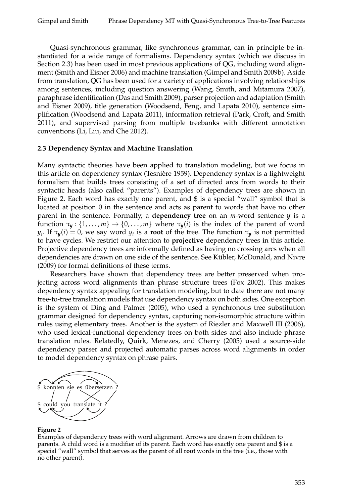Quasi-synchronous grammar, like synchronous grammar, can in principle be instantiated for a wide range of formalisms. Dependency syntax (which we discuss in Section 2.3) has been used in most previous applications of QG, including word alignment (Smith and Eisner 2006) and machine translation (Gimpel and Smith 2009b). Aside from translation, QG has been used for a variety of applications involving relationships among sentences, including question answering (Wang, Smith, and Mitamura 2007), paraphrase identification (Das and Smith 2009), parser projection and adaptation (Smith and Eisner 2009), title generation (Woodsend, Feng, and Lapata 2010), sentence simplification (Woodsend and Lapata 2011), information retrieval (Park, Croft, and Smith 2011), and supervised parsing from multiple treebanks with different annotation conventions (Li, Liu, and Che 2012).

#### **2.3 Dependency Syntax and Machine Translation**

Many syntactic theories have been applied to translation modeling, but we focus in this article on dependency syntax (Tesniere 1959). Dependency syntax is a lightweight ` formalism that builds trees consisting of a set of directed arcs from words to their syntactic heads (also called "parents"). Examples of dependency trees are shown in Figure 2. Each word has exactly one parent, and  $\frac{1}{2}$  is a special "wall" symbol that is located at position 0 in the sentence and acts as parent to words that have no other parent in the sentence. Formally, a **dependency tree** on an *m*-word sentence *y* is a function  $\tau_y: \{1,\ldots,m\} \to \{0,\ldots,m\}$  where  $\tau_y(i)$  is the index of the parent of word *y*<sub>*i*</sub>. If  $\tau_y(i) = 0$ , we say word *y*<sub>*i*</sub> is a **root** of the tree. The function  $\tau_y$  is not permitted to have cycles. We restrict our attention to **projective** dependency trees in this article. Projective dependency trees are informally defined as having no crossing arcs when all dependencies are drawn on one side of the sentence. See Kübler, McDonald, and Nivre (2009) for formal definitions of these terms.

Researchers have shown that dependency trees are better preserved when projecting across word alignments than phrase structure trees (Fox 2002). This makes dependency syntax appealing for translation modeling, but to date there are not many tree-to-tree translation models that use dependency syntax on both sides. One exception is the system of Ding and Palmer (2005), who used a synchronous tree substitution grammar designed for dependency syntax, capturing non-isomorphic structure within rules using elementary trees. Another is the system of Riezler and Maxwell III (2006), who used lexical-functional dependency trees on both sides and also include phrase translation rules. Relatedly, Quirk, Menezes, and Cherry (2005) used a source-side dependency parser and projected automatic parses across word alignments in order to model dependency syntax on phrase pairs.



#### **Figure 2**

Examples of dependency trees with word alignment. Arrows are drawn from children to parents. A child word is a modifier of its parent. Each word has exactly one parent and \$ is a special "wall" symbol that serves as the parent of all **root** words in the tree (i.e., those with no other parent).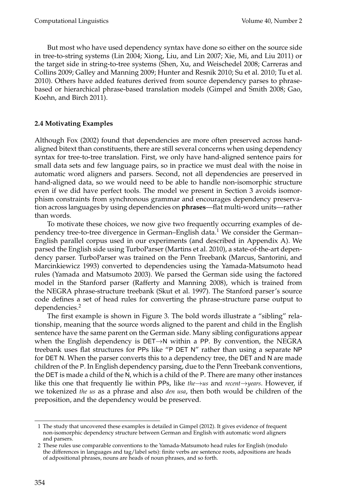But most who have used dependency syntax have done so either on the source side in tree-to-string systems (Lin 2004; Xiong, Liu, and Lin 2007; Xie, Mi, and Liu 2011) or the target side in string-to-tree systems (Shen, Xu, and Weischedel 2008; Carreras and Collins 2009; Galley and Manning 2009; Hunter and Resnik 2010; Su et al. 2010; Tu et al. 2010). Others have added features derived from source dependency parses to phrasebased or hierarchical phrase-based translation models (Gimpel and Smith 2008; Gao, Koehn, and Birch 2011).

# **2.4 Motivating Examples**

Although Fox (2002) found that dependencies are more often preserved across handaligned bitext than constituents, there are still several concerns when using dependency syntax for tree-to-tree translation. First, we only have hand-aligned sentence pairs for small data sets and few language pairs, so in practice we must deal with the noise in automatic word aligners and parsers. Second, not all dependencies are preserved in hand-aligned data, so we would need to be able to handle non-isomorphic structure even if we did have perfect tools. The model we present in Section 3 avoids isomorphism constraints from synchronous grammar and encourages dependency preservation across languages by using dependencies on **phrases**—flat multi-word units—rather than words.

To motivate these choices, we now give two frequently occurring examples of dependency tree-to-tree divergence in German–English data.<sup>1</sup> We consider the German– English parallel corpus used in our experiments (and described in Appendix A). We parsed the English side using TurboParser (Martins et al. 2010), a state-of-the-art dependency parser. TurboParser was trained on the Penn Treebank (Marcus, Santorini, and Marcinkiewicz 1993) converted to dependencies using the Yamada-Matsumoto head rules (Yamada and Matsumoto 2003). We parsed the German side using the factored model in the Stanford parser (Rafferty and Manning 2008), which is trained from the NEGRA phrase-structure treebank (Skut et al. 1997). The Stanford parser's source code defines a set of head rules for converting the phrase-structure parse output to dependencies.<sup>2</sup>

The first example is shown in Figure 3. The bold words illustrate a "sibling" relationship, meaning that the source words aligned to the parent and child in the English sentence have the same parent on the German side. Many sibling configurations appear when the English dependency is  $DET \rightarrow N$  within a PP. By convention, the NEGRA treebank uses flat structures for PPs like "P DET N" rather than using a separate NP for DET N. When the parser converts this to a dependency tree, the DET and N are made children of the P. In English dependency parsing, due to the Penn Treebank conventions, the DET is made a child of the N, which is a child of the P. There are many other instances like this one that frequently lie within PPs, like *the*→*us* and *recent*→*years*. However, if we tokenized *the us* as a phrase and also *den usa*, then both would be children of the preposition, and the dependency would be preserved.

<sup>1</sup> The study that uncovered these examples is detailed in Gimpel (2012). It gives evidence of frequent non-isomorphic dependency structure between German and English with automatic word aligners and parsers.

<sup>2</sup> These rules use comparable conventions to the Yamada-Matsumoto head rules for English (modulo the differences in languages and tag/label sets): finite verbs are sentence roots, adpositions are heads of adpositional phrases, nouns are heads of noun phrases, and so forth.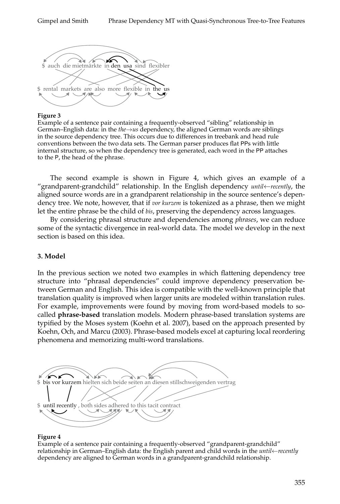

### **Figure 3**

Example of a sentence pair containing a frequently-observed "sibling" relationship in German–English data: in the *the*→*us* dependency, the aligned German words are siblings in the source dependency tree. This occurs due to differences in treebank and head rule conventions between the two data sets. The German parser produces flat PPs with little internal structure, so when the dependency tree is generated, each word in the PP attaches to the P, the head of the phrase.

The second example is shown in Figure 4, which gives an example of a "grandparent-grandchild" relationship. In the English dependency *until*←*recently*, the aligned source words are in a grandparent relationship in the source sentence's dependency tree. We note, however, that if *vor kurzem* is tokenized as a phrase, then we might let the entire phrase be the child of *bis*, preserving the dependency across languages.

By considering phrasal structure and dependencies among *phrases*, we can reduce some of the syntactic divergence in real-world data. The model we develop in the next section is based on this idea.

# **3. Model**

In the previous section we noted two examples in which flattening dependency tree structure into "phrasal dependencies" could improve dependency preservation between German and English. This idea is compatible with the well-known principle that translation quality is improved when larger units are modeled within translation rules. For example, improvements were found by moving from word-based models to socalled **phrase-based** translation models. Modern phrase-based translation systems are typified by the Moses system (Koehn et al. 2007), based on the approach presented by Koehn, Och, and Marcu (2003). Phrase-based models excel at capturing local reordering phenomena and memorizing multi-word translations.



### **Figure 4**

Example of a sentence pair containing a frequently-observed "grandparent-grandchild" relationship in German–English data: the English parent and child words in the *until*←*recently* dependency are aligned to German words in a grandparent-grandchild relationship.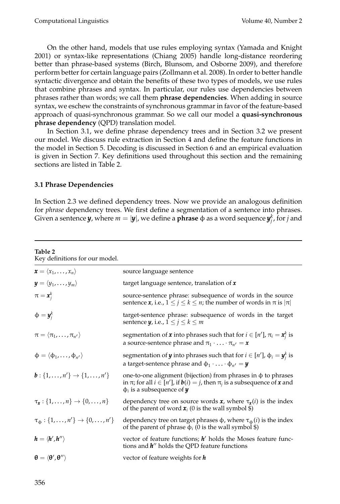On the other hand, models that use rules employing syntax (Yamada and Knight 2001) or syntax-like representations (Chiang 2005) handle long-distance reordering better than phrase-based systems (Birch, Blunsom, and Osborne 2009), and therefore perform better for certain language pairs (Zollmann et al. 2008). In order to better handle syntactic divergence and obtain the benefits of these two types of models, we use rules that combine phrases and syntax. In particular, our rules use dependencies between phrases rather than words; we call them **phrase dependencies**. When adding in source syntax, we eschew the constraints of synchronous grammar in favor of the feature-based approach of quasi-synchronous grammar. So we call our model a **quasi-synchronous phrase dependency** (QPD) translation model.

In Section 3.1, we define phrase dependency trees and in Section 3.2 we present our model. We discuss rule extraction in Section 4 and define the feature functions in the model in Section 5. Decoding is discussed in Section 6 and an empirical evaluation is given in Section 7. Key definitions used throughout this section and the remaining sections are listed in Table 2.

### **3.1 Phrase Dependencies**

In Section 2.3 we defined dependency trees. Now we provide an analogous definition for *phrase* dependency trees. We first define a segmentation of a sentence into phrases. Given a sentence  $\bm{y}$ , where  $m=|\bm{y}|$ , we define a  $\bm{\rm phase}$   $\phi$  as a word sequence  $\bm{y}_j^k$ , for  $j$  and

| Table 2<br>Key definitions for our model.                       |                                                                                                                                                                                                                             |
|-----------------------------------------------------------------|-----------------------------------------------------------------------------------------------------------------------------------------------------------------------------------------------------------------------------|
| $\mathbf{x} = \langle x_1, \ldots, x_n \rangle$                 | source language sentence                                                                                                                                                                                                    |
| $\mathbf{y} = \langle y_1, \ldots, y_m \rangle$                 | target language sentence, translation of $x$                                                                                                                                                                                |
| $\pi = \pmb{x}_i^k$                                             | source-sentence phrase: subsequence of words in the source<br>sentence $x$ , i.e., $1 \le j \le k \le n$ ; the number of words in $\pi$ is $ \pi $                                                                          |
| $\Phi = \mathbf{y}_i^k$                                         | target-sentence phrase: subsequence of words in the target<br>sentence $y$ , i.e., $1 \le j \le k \le m$                                                                                                                    |
| $\pi = \langle \pi_1, \ldots, \pi_{n'} \rangle$                 | segmentation of <b>x</b> into phrases such that for $i \in [n']$ , $\pi_i = \mathbf{x}_i^k$ is<br>a source-sentence phrase and $\pi_1 \cdot \ldots \cdot \pi_{n'} = \mathbf{x}$                                             |
| $\phi = \langle \phi_1, \ldots, \phi_{n'} \rangle$              | segmentation of <b>y</b> into phrases such that for $i \in [n']$ , $\phi_i = \mathbf{y}_i^k$ is<br>a target-sentence phrase and $\phi_1 \cdot \ldots \cdot \phi_{n'} = y$                                                   |
| $\mathbf{b}: \{1,\ldots,n'\}\to \{1,\ldots,n'\}$                | one-to-one alignment (bijection) from phrases in $\phi$ to phrases<br>in $\pi$ ; for all $i \in [n']$ , if $\boldsymbol{b}(i) = j$ , then $\pi_i$ is a subsequence of <b>x</b> and<br>$\phi_i$ is a subsequence of <b>y</b> |
| $\tau_{\mathbf{x}} : \{1,\ldots,n\} \rightarrow \{0,\ldots,n\}$ | dependency tree on source words $\mathbf{x}$ , where $\tau_{\mathbf{x}}(i)$ is the index<br>of the parent of word $\mathbf{x}_i$ (0 is the wall symbol \$)                                                                  |
| $\tau_{\phi} : \{1, \ldots, n'\} \to \{0, \ldots, n'\}$         | dependency tree on target phrases $\phi$ , where $\tau_{\phi}(i)$ is the index<br>of the parent of phrase $\phi_i$ (0 is the wall symbol \$)                                                                                |
| $h = \langle h', h'' \rangle$                                   | vector of feature functions; $h'$ holds the Moses feature func-<br>tions and $h''$ holds the QPD feature functions                                                                                                          |
| $\theta = \langle \theta', \theta'' \rangle$                    | vector of feature weights for $h$                                                                                                                                                                                           |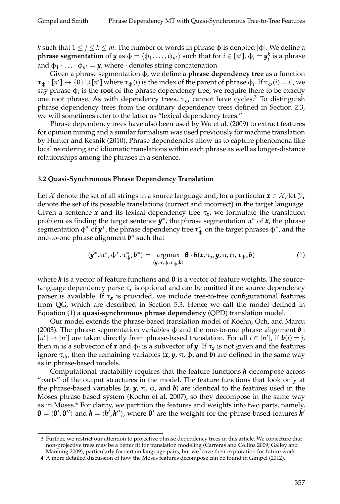*k* such that  $1 \le j \le k \le m$ . The number of words in phrase  $\phi$  is denoted  $|\phi|$ . We define a **phrase segmentation** of  $y$  as  $\phi = \langle \phi_1, \dots, \phi_{n'} \rangle$  such that for  $i \in [n'], \phi_i = y_j^k$  is a phrase and  $\phi_1 \cdot \ldots \cdot \phi_{n'} = y$ , where  $\cdot$  denotes string concatenation.

Given a phrase segmentation φ, we define a **phrase dependency tree** as a function  $\pi_{\phi} : [n'] \to \{0\} \cup [n']$  where  $\pi_{\phi}(i)$  is the index of the parent of phrase  $\phi_i$ . If  $\pi_{\phi}(i) = 0$ , we say phrase  $\phi_i$  is the **root** of the phrase dependency tree; we require there to be exactly one root phrase. As with dependency trees,  $\tau_{\phi}$  cannot have cycles.<sup>3</sup> To distinguish phrase dependency trees from the ordinary dependency trees defined in Section 2.3, we will sometimes refer to the latter as "lexical dependency trees."

Phrase dependency trees have also been used by Wu et al. (2009) to extract features for opinion mining and a similar formalism was used previously for machine translation by Hunter and Resnik (2010). Phrase dependencies allow us to capture phenomena like local reordering and idiomatic translations within each phrase as well as longer-distance relationships among the phrases in a sentence.

#### **3.2 Quasi-Synchronous Phrase Dependency Translation**

Let X denote the set of all strings in a source language and, for a particular  $\mathbf{x} \in \mathcal{X}$ , let  $\mathcal{Y}_x$ denote the set of its possible translations (correct and incorrect) in the target language. Given a sentence *x* and its lexical dependency tree τ*<sup>x</sup>* , we formulate the translation problem as finding the target sentence  $y^*$ , the phrase segmentation  $\pi^*$  of  $x$ , the phrase  $\sim$  segmentation  $\phi^*$  of  $\bm{y}^*$ , the phrase dependency tree  $\tau^*_\varphi$  on the target phrases  $\phi^*$ , and the one-to-one phrase alignment *b* ∗ such that

$$
\langle \mathbf{y}^*, \pi^*, \varphi^*, \tau_{\varphi}^*, \boldsymbol{b}^* \rangle = \underset{\langle \mathbf{y}, \pi, \varphi, \tau_{\varphi}, \boldsymbol{b} \rangle}{\operatorname{argmax}} \boldsymbol{\theta} \cdot \boldsymbol{h}(\mathbf{x}, \tau_{\mathbf{x}}, \mathbf{y}, \pi, \varphi, \tau_{\varphi}, \boldsymbol{b}) \tag{1}
$$

where  $h$  is a vector of feature functions and  $\theta$  is a vector of feature weights. The sourcelanguage dependency parse τ*<sup>x</sup>* is optional and can be omitted if no source dependency parser is available. If τ*<sup>x</sup>* is provided, we include tree-to-tree configurational features from QG, which are described in Section 5.3. Hence we call the model defined in Equation (1) a **quasi-synchronous phrase dependency** (QPD) translation model.

Our model extends the phrase-based translation model of Koehn, Och, and Marcu (2003). The phrase segmentation variables  $\phi$  and the one-to-one phrase alignment  $\boldsymbol{b}$  :  $[n'] \rightarrow [n']$  are taken directly from phrase-based translation. For all  $i \in [n']$ , if  $\mathbf{b}(i) = j$ , then  $\pi_j$  is a subvector of *x* and φ<sub>*i*</sub> is a subvector of *y*. If  $\tau_x$  is not given and the features ignore  $\tau_{\phi}$ , then the remaining variables  $(x, y, \pi, \phi)$ , and **b**) are defined in the same way as in phrase-based models.

Computational tractability requires that the feature functions *h* decompose across "parts" of the output structures in the model. The feature functions that look only at the phrase-based variables  $(x, y, \pi, \phi)$ , and **b**) are identical to the features used in the Moses phrase-based system (Koehn et al. 2007), so they decompose in the same way as in Moses. $<sup>4</sup>$  For clarity, we partition the features and weights into two parts, namely,</sup>  $\theta = \langle \theta', \theta'' \rangle$  and  $h = \langle h', h'' \rangle$ , where  $\theta'$  are the weights for the phrase-based features  $h'$ 

<sup>3</sup> Further, we restrict our attention to projective phrase dependency trees in this article. We conjecture that non-projective trees may be a better fit for translation modeling (Carreras and Collins 2009; Galley and Manning 2009), particularly for certain language pairs, but we leave their exploration for future work.

<sup>4</sup> A more detailed discussion of how the Moses features decompose can be found in Gimpel (2012).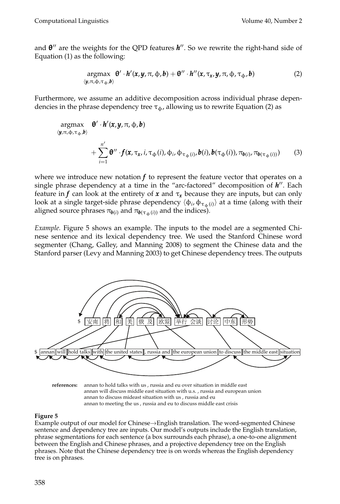and θ'' are the weights for the QPD features **h**''. So we rewrite the right-hand side of Equation (1) as the following:

$$
\underset{\langle y,\pi,\varphi,\tau_{\varphi},b\rangle}{\operatorname{argmax}} \quad \theta' \cdot h'(x,y,\pi,\varphi,b) + \theta'' \cdot h''(x,\tau_x,y,\pi,\varphi,\tau_{\varphi},b) \tag{2}
$$

Furthermore, we assume an additive decomposition across individual phrase dependencies in the phrase dependency tree  $\tau_{\phi}$ , allowing us to rewrite Equation (2) as

$$
\arg\max_{(\mathbf{y},\pi,\phi,\tau_{\phi},\mathbf{b})} \mathbf{\theta}' \cdot \mathbf{h}'(\mathbf{x},\mathbf{y},\pi,\phi,\mathbf{b})
$$
  
+ 
$$
\sum_{i=1}^{n'} \mathbf{\theta}'' \cdot f(\mathbf{x},\tau_{\mathbf{x}},i,\tau_{\phi}(i),\phi_i,\phi_{\tau_{\phi}(i)},\mathbf{b}(i),\mathbf{b}(\tau_{\phi}(i)),\pi_{\mathbf{b}(i)},\pi_{\mathbf{b}(\tau_{\phi}(i))})
$$
(3)

where we introduce new notation  $f$  to represent the feature vector that operates on a single phrase dependency at a time in the "arc-factored" decomposition of *h*". Each feature in *f* can look at the entirety of **x** and  $\tau_x$  because they are inputs, but can only look at a single target-side phrase dependency  $\langle \phi_i, \phi_{\tau_\phi(i)} \rangle$  at a time (along with their aligned source phrases  $\pi_{\mathbf{b}(i)}$  and  $\pi_{\mathbf{b}(\tau_{\phi}(i))}$  and the indices).

*Example.* Figure 5 shows an example. The inputs to the model are a segmented Chinese sentence and its lexical dependency tree. We used the Stanford Chinese word segmenter (Chang, Galley, and Manning 2008) to segment the Chinese data and the Stanford parser (Levy and Manning 2003) to get Chinese dependency trees. The outputs



**references:** annan to hold talks with us , russia and eu over situation in middle east annan will discuss middle east situation with u.s. , russia and european union annan to discuss mideast situation with us , russia and eu annan to meeting the us , russia and eu to discuss middle east crisis

### **Figure 5**

Example output of our model for Chinese→English translation. The word-segmented Chinese sentence and dependency tree are inputs. Our model's outputs include the English translation, phrase segmentations for each sentence (a box surrounds each phrase), a one-to-one alignment between the English and Chinese phrases, and a projective dependency tree on the English phrases. Note that the Chinese dependency tree is on words whereas the English dependency tree is on phrases.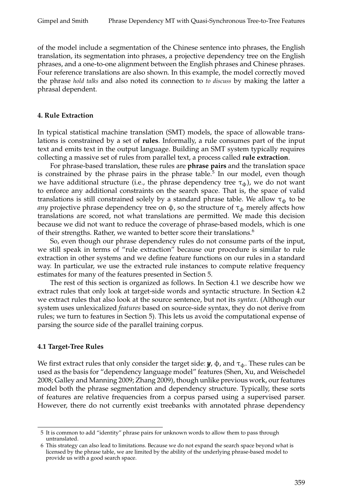of the model include a segmentation of the Chinese sentence into phrases, the English translation, its segmentation into phrases, a projective dependency tree on the English phrases, and a one-to-one alignment between the English phrases and Chinese phrases. Four reference translations are also shown. In this example, the model correctly moved the phrase *hold talks* and also noted its connection to *to discuss* by making the latter a phrasal dependent.

### **4. Rule Extraction**

In typical statistical machine translation (SMT) models, the space of allowable translations is constrained by a set of **rules**. Informally, a rule consumes part of the input text and emits text in the output language. Building an SMT system typically requires collecting a massive set of rules from parallel text, a process called **rule extraction**.

For phrase-based translation, these rules are **phrase pairs** and the translation space is constrained by the phrase pairs in the phrase table.<sup>5</sup> In our model, even though we have additional structure (i.e., the phrase dependency tree  $\tau_{\phi}$ ), we do not want to enforce any additional constraints on the search space. That is, the space of valid translations is still constrained solely by a standard phrase table. We allow  $\tau_{\phi}$  to be *any* projective phrase dependency tree on  $\phi$ , so the structure of  $\tau_{\phi}$  merely affects how translations are scored, not what translations are permitted. We made this decision because we did not want to reduce the coverage of phrase-based models, which is one of their strengths. Rather, we wanted to better score their translations.<sup>6</sup>

So, even though our phrase dependency rules do not consume parts of the input, we still speak in terms of "rule extraction" because our procedure is similar to rule extraction in other systems and we define feature functions on our rules in a standard way. In particular, we use the extracted rule instances to compute relative frequency estimates for many of the features presented in Section 5.

The rest of this section is organized as follows. In Section 4.1 we describe how we extract rules that only look at target-side words and syntactic structure. In Section 4.2 we extract rules that also look at the source sentence, but not its *syntax*. (Although our system uses unlexicalized *features* based on source-side syntax, they do not derive from rules; we turn to features in Section 5). This lets us avoid the computational expense of parsing the source side of the parallel training corpus.

# **4.1 Target-Tree Rules**

We first extract rules that only consider the target side:  $y$ ,  $\phi$ , and  $\tau_{\phi}$ . These rules can be used as the basis for "dependency language model" features (Shen, Xu, and Weischedel 2008; Galley and Manning 2009; Zhang 2009), though unlike previous work, our features model both the phrase segmentation and dependency structure. Typically, these sorts of features are relative frequencies from a corpus parsed using a supervised parser. However, there do not currently exist treebanks with annotated phrase dependency

<sup>5</sup> It is common to add "identity" phrase pairs for unknown words to allow them to pass through untranslated.

<sup>6</sup> This strategy can also lead to limitations. Because we do not expand the search space beyond what is licensed by the phrase table, we are limited by the ability of the underlying phrase-based model to provide us with a good search space.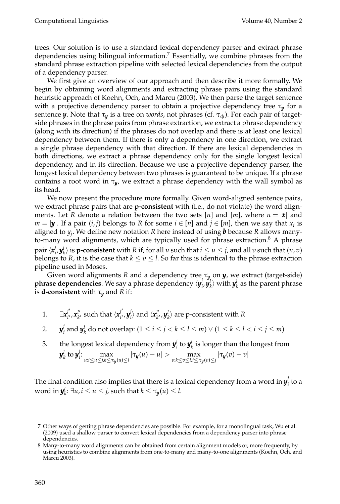trees. Our solution is to use a standard lexical dependency parser and extract phrase dependencies using bilingual information.<sup>7</sup> Essentially, we combine phrases from the standard phrase extraction pipeline with selected lexical dependencies from the output of a dependency parser.

We first give an overview of our approach and then describe it more formally. We begin by obtaining word alignments and extracting phrase pairs using the standard heuristic approach of Koehn, Och, and Marcu (2003). We then parse the target sentence with a projective dependency parser to obtain a projective dependency tree τ*<sup>y</sup>* for a sentence *y*. Note that τ<sub>*y*</sub> is a tree on *words*, not phrases (cf. τ<sub>φ</sub>). For each pair of targetside phrases in the phrase pairs from phrase extraction, we extract a phrase dependency (along with its direction) if the phrases do not overlap and there is at least one lexical dependency between them. If there is only a dependency in one direction, we extract a single phrase dependency with that direction. If there are lexical dependencies in both directions, we extract a phrase dependency only for the single longest lexical dependency, and in its direction. Because we use a projective dependency parser, the longest lexical dependency between two phrases is guaranteed to be unique. If a phrase contains a root word in τ*<sup>y</sup>* , we extract a phrase dependency with the wall symbol as its head.

We now present the procedure more formally. Given word-aligned sentence pairs, we extract phrase pairs that are **p-consistent** with (i.e., do not violate) the word alignments. Let *R* denote a relation between the two sets [*n*] and [*m*], where  $n = |x|$  and *m* = | $\mathbf{y}$ |. If a pair (*i*, *j*) belongs to *R* for some *i* ∈ [*n*] and *j* ∈ [*m*], then we say that *x*<sub>*i*</sub> is aligned to *y<sup>j</sup>* . We define new notation *R* here instead of using *b* because *R* allows manyto-many word alignments, which are typically used for phrase extraction. $8$  A phrase pair  $\langle \pmb{x}^j_i \rangle$  $\{a_i, b_i, b_i\}$  is **p-consistent** with *R* if, for all *u* such that  $i \le u \le j$ , and all *v* such that  $(u, v)$ belongs to *R*, it is the case that  $k \le v \le l$ . So far this is identical to the phrase extraction pipeline used in Moses.

Given word alignments *R* and a dependency tree  $\tau_y$  on *y*, we extract (target-side)  $p$ hrase dependencies. We say a phrase dependency  $\langle y_i^j \rangle$  $\langle \boldsymbol{y}_k^l \rangle$  with  $\boldsymbol{y}_k^l$  as the parent phrase is **d-consistent** with  $\tau_y$  and *R* if:

- 1.  $\exists x_{i'}^{j'}$ <sup>j'</sup>, **x**¦′,  $\boldsymbol{h}^{\prime\prime}_{k^{\prime}}$  such that  $\langle \boldsymbol{x}^{j^{\prime}}_{i^{\prime}} \rangle$ *i* 0 ,*y j*  $\langle \pmb{x}_{k'}^{l'}\rangle$  and  $\langle \pmb{x}_{k'}^{l'}\rangle$  $\langle l'_{k'} , \bm{y}^l_{k} \rangle$  are p-consistent with  $R$
- 2. *y j i* and *y l k* do not overlap: (1 ≤ *i* ≤ *j* < *k* ≤ *l* ≤ *m*) ∨ (1 ≤ *k* ≤ *l* < *i* ≤ *j* ≤ *m*)
- 3. the longest lexical dependency from  $y^j_i$  $\bm{y}_k^l$  is longer than the longest from  $\bm{y}_k^l$  to  $\bm{y}_i^j$  $\sum_{u:i\leq u\leq j,k\leq \tau_{\mathbf{y}}(u)\leq l}^{m} |\tau_{\mathbf{y}}(u)-u|> \max_{v:k\leq v\leq l,i\leq \tau_{\mathbf{y}}(v)\leq j} |\tau_{\mathbf{y}}(v)-v|$

The final condition also implies that there is a lexical dependency from a word in  $y^j_i$  $i$ <sup> $\prime$ </sup> to a word in  $y_k^l$ :  $\exists u, i \leq u \leq j$ , such that  $k \leq \tau_{\bm{y}}(u) \leq l$ .

<sup>7</sup> Other ways of getting phrase dependencies are possible. For example, for a monolingual task, Wu et al. (2009) used a shallow parser to convert lexical dependencies from a dependency parser into phrase dependencies.

<sup>8</sup> Many-to-many word alignments can be obtained from certain alignment models or, more frequently, by using heuristics to combine alignments from one-to-many and many-to-one alignments (Koehn, Och, and Marcu 2003).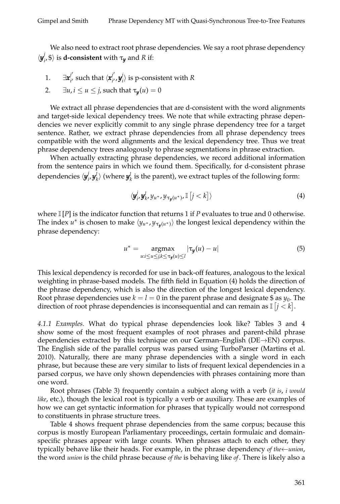We also need to extract root phrase dependencies. We say a root phrase dependency  $\langle \bmsymbol{y}_i^j$  $\langle f_i, \$ \rangle$  is **d-consistent** with  $\tau_{\bm{y}}$  and *R* if:

1. ∃*x j* 0  $j'_{i'}$  such that  $\langle \pmb{x}^{j'}_{i'} \rangle$ *i* 0 ,*y j*  $\binom{n}{i}$  is p-consistent with *R* 

2. 
$$
\exists u, i \leq u \leq j
$$
, such that  $\tau_y(u) = 0$ 

We extract all phrase dependencies that are d-consistent with the word alignments and target-side lexical dependency trees. We note that while extracting phrase dependencies we never explicitly commit to any single phrase dependency tree for a target sentence. Rather, we extract phrase dependencies from all phrase dependency trees compatible with the word alignments and the lexical dependency tree. Thus we treat phrase dependency trees analogously to phrase segmentations in phrase extraction.

When actually extracting phrase dependencies, we record additional information from the sentence pairs in which we found them. Specifically, for d-consistent phrase dependencies  $\langle \bm{y}_i^j \rangle$  $\mathcal{Y}^l_i$ ,  $\mathcal{Y}^l_k$  (where  $\mathcal{Y}^l_k$  is the parent), we extract tuples of the following form:

$$
\langle \mathbf{y}_i^j, \mathbf{y}_{k}^l, y_{u^*}, y_{\tau_{\mathbf{y}}(u^*)}, \mathbb{I}\left[j < k\right]\rangle \tag{4}
$$

where  $\mathbb{I}[P]$  is the indicator function that returns 1 if *P* evaluates to true and 0 otherwise. The index  $u^*$  is chosen to make  $\langle y_{u^*}, y_{\tau_y(u^*)} \rangle$  the longest lexical dependency within the phrase dependency:

$$
u^* = \underset{u:i \le u \le j,k \le \tau_{\mathbf{y}}(u) \le l}{\operatorname{argmax}} |\tau_{\mathbf{y}}(u) - u|
$$
(5)

This lexical dependency is recorded for use in back-off features, analogous to the lexical weighting in phrase-based models. The fifth field in Equation (4) holds the direction of the phrase dependency, which is also the direction of the longest lexical dependency. Root phrase dependencies use  $k = l = 0$  in the parent phrase and designate  $\$$  as  $y_0$ . The direction of root phrase dependencies is inconsequential and can remain as  $\mathbb{I}$   $[j < k]$ .

*4.1.1 Examples.* What do typical phrase dependencies look like? Tables 3 and 4 show some of the most frequent examples of root phrases and parent-child phrase dependencies extracted by this technique on our German–English (DE→EN) corpus. The English side of the parallel corpus was parsed using TurboParser (Martins et al. 2010). Naturally, there are many phrase dependencies with a single word in each phrase, but because these are very similar to lists of frequent lexical dependencies in a parsed corpus, we have only shown dependencies with phrases containing more than one word.

Root phrases (Table 3) frequently contain a subject along with a verb (*it is*, *i would like*, etc.), though the lexical root is typically a verb or auxiliary. These are examples of how we can get syntactic information for phrases that typically would not correspond to constituents in phrase structure trees.

Table 4 shows frequent phrase dependencies from the same corpus; because this corpus is mostly European Parliamentary proceedings, certain formulaic and domainspecific phrases appear with large counts. When phrases attach to each other, they typically behave like their heads. For example, in the phrase dependency *of the*←*union*, the word *union* is the child phrase because *of the* is behaving like *of*. There is likely also a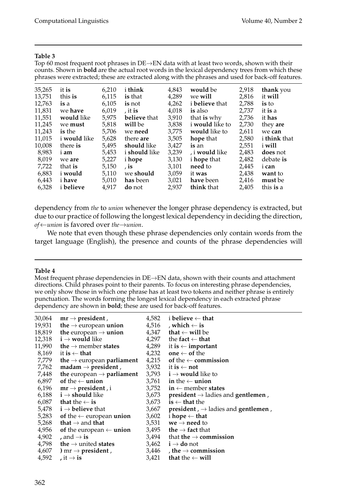Top 60 most frequent root phrases in  $DE \rightarrow EN$  data with at least two words, shown with their counts. Shown in **bold** are the actual root words in the lexical dependency trees from which these phrases were extracted; these are extracted along with the phrases and used for back-off features. 35,265 it **is** 6,210 i **think** 4,843 **would** be 2,918 **thank** you 13,751 this **is** 6,115 **is** that 4,289 we **will** 2,816 it **will** 12,763 **is** a 6,105 **is** not 4,262 i **believe** that 2,788 **is** to 11,831 we **have** 6,019 , it **is** 4,018 **is** also 2,737 it **is** a 11,551 **would** like 5,975 **believe** that 3,910 that **is** why 2,736 it **has 111,244 will be 3,838 i would like to** we **need** 3,775 **would** like to 11,243 **is** the 5,706 we **need** 3,775 **would** like to 2,611 we **can** 11,015 i **would** like 5,628 there **are** 3,505 **hope** that 2,580 i **think** that 10,008 there **is** 5,495 **should** like 3,427 **is** an 2,551 i **will**

8,983 i **am** 5,453 i **should** like 3,239 , i **would** like 2,483 **does** not 8,019 we **are** 5,227 i **hope** 3,130 i **hope** that 2,482 debate **is** 7,722 that **is** 5,150 , **is** 3,101 **need** to 2,445 i **can** 6,883 i **would** 5,110 we **should** 3,059 it **was** 2,438 **want** to 6,443 i **have** 5,010 **has** been 3,021 **have** been 2,416 **must** be 6,328 i **believe** 4,917 **do** not 2,937 **think** that 2,405 this **is** a

dependency from *the* to *union* whenever the longer phrase dependency is extracted, but due to our practice of following the longest lexical dependency in deciding the direction, *of*←*union* is favored over *the*→*union*.

We note that even though these phrase dependencies only contain words from the target language (English), the presence and counts of the phrase dependencies will

### **Table 4**

Most frequent phrase dependencies in DE→EN data, shown with their counts and attachment directions. Child phrases point to their parents. To focus on interesting phrase dependencies, we only show those in which one phrase has at least two tokens and neither phrase is entirely punctuation. The words forming the longest lexical dependency in each extracted phrase dependency are shown in **bold**; these are used for back-off features.

| 30,064 | $mr \rightarrow president$ ,                  | 4,582 | i believe $\leftarrow$ that                                    |
|--------|-----------------------------------------------|-------|----------------------------------------------------------------|
| 19,931 | the $\rightarrow$ european union              | 4,516 | , which $\leftarrow$ is                                        |
| 18,819 | the european $\rightarrow$ union              | 4,347 | that $\leftarrow$ will be                                      |
| 12,318 | $i \rightarrow$ would like                    | 4,297 | the fact $\leftarrow$ that                                     |
| 11,990 | the $\rightarrow$ member states               | 4,289 | it is $\leftarrow$ important                                   |
| 8,169  | it is $\leftarrow$ that                       | 4,232 | <b>one</b> $\leftarrow$ of the                                 |
| 7,779  | the $\rightarrow$ european parliament         | 4,215 | of the $\leftarrow$ commission                                 |
| 7,762  | $madam \rightarrow president$ ,               | 3,932 | it is $\leftarrow$ not                                         |
| 7,448  | the european $\rightarrow$ parliament         | 3,793 | $i \rightarrow$ would like to                                  |
| 6,897  | of the $\leftarrow$ union                     | 3,761 | in the $\leftarrow$ union                                      |
| 6,196  | $mr \rightarrow president$ , i                | 3,752 | $\mathbf{in} \leftarrow$ member states                         |
| 6,188  | $\mathbf{i} \rightarrow \mathbf{should}$ like | 3,673 | $president \rightarrow$ ladies and gentlemen,                  |
|        | 6,087 that the $\leftarrow$ is                | 3,673 | $is \leftarrow$ that the                                       |
|        | 5,478 $i \rightarrow$ believe that            | 3,667 | <b>president</b> , $\rightarrow$ ladies and <b>gentlemen</b> , |
| 5,283  | of the $\leftarrow$ european union            | 3,602 | i hope $\leftarrow$ that                                       |
| 5,268  | that $\rightarrow$ and that                   | 3,531 | $we \rightarrow need to$                                       |
| 4,956  | of the european $\leftarrow$ union            | 3,495 | the $\rightarrow$ fact that                                    |
| 4,902  | , and $\rightarrow$ is                        | 3,494 | that the $\rightarrow$ commission                              |
|        | 4,798 the $\rightarrow$ united states         | 3,462 | $i \rightarrow do$ not                                         |
|        | 4,607 ) mr $\rightarrow$ president,           | 3,446 | , the $\rightarrow$ commission                                 |
| 4,592  | , it $\rightarrow$ is                         | 3,421 | that the $\leftarrow$ will                                     |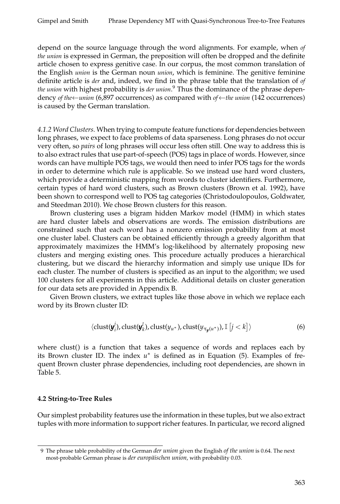depend on the source language through the word alignments. For example, when *of the union* is expressed in German, the preposition will often be dropped and the definite article chosen to express genitive case. In our corpus, the most common translation of the English *union* is the German noun *union*, which is feminine. The genitive feminine definite article is *der* and, indeed, we find in the phrase table that the translation of *of the union* with highest probability is *der union*. <sup>9</sup> Thus the dominance of the phrase dependency *of the*←*union* (6,897 occurrences) as compared with *of*←*the union* (142 occurrences) is caused by the German translation.

*4.1.2 Word Clusters.* When trying to compute feature functions for dependencies between long phrases, we expect to face problems of data sparseness. Long phrases do not occur very often, so *pairs* of long phrases will occur less often still. One way to address this is to also extract rules that use part-of-speech (POS) tags in place of words. However, since words can have multiple POS tags, we would then need to infer POS tags for the words in order to determine which rule is applicable. So we instead use hard word clusters, which provide a deterministic mapping from words to cluster identifiers. Furthermore, certain types of hard word clusters, such as Brown clusters (Brown et al. 1992), have been shown to correspond well to POS tag categories (Christodoulopoulos, Goldwater, and Steedman 2010). We chose Brown clusters for this reason.

Brown clustering uses a bigram hidden Markov model (HMM) in which states are hard cluster labels and observations are words. The emission distributions are constrained such that each word has a nonzero emission probability from at most one cluster label. Clusters can be obtained efficiently through a greedy algorithm that approximately maximizes the HMM's log-likelihood by alternately proposing new clusters and merging existing ones. This procedure actually produces a hierarchical clustering, but we discard the hierarchy information and simply use unique IDs for each cluster. The number of clusters is specified as an input to the algorithm; we used 100 clusters for all experiments in this article. Additional details on cluster generation for our data sets are provided in Appendix B.

Given Brown clusters, we extract tuples like those above in which we replace each word by its Brown cluster ID:

$$
\langle \text{clust}(\boldsymbol{y}_i^j), \text{clust}(\boldsymbol{y}_k^l), \text{clust}(y_{u^*}), \text{clust}(y_{\tau_{\boldsymbol{y}}(u^*)}), \mathbb{I}\left[j < k\right]\rangle \tag{6}
$$

where clust() is a function that takes a sequence of words and replaces each by its Brown cluster ID. The index *u* ∗ is defined as in Equation (5). Examples of frequent Brown cluster phrase dependencies, including root dependencies, are shown in Table 5.

# **4.2 String-to-Tree Rules**

Our simplest probability features use the information in these tuples, but we also extract tuples with more information to support richer features. In particular, we record aligned

<sup>9</sup> The phrase table probability of the German *der union* given the English *of the union* is 0.64. The next most-probable German phrase is *der europäischen union*, with probability 0.03.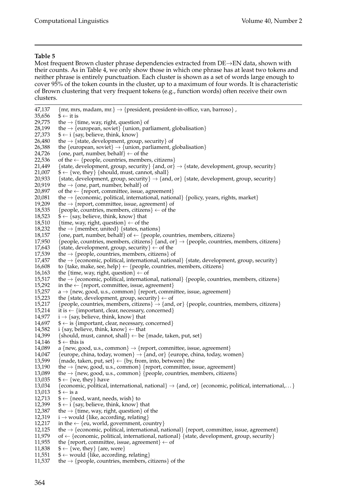Most frequent Brown cluster phrase dependencies extracted from DE→EN data, shown with their counts. As in Table 4, we only show those in which one phrase has at least two tokens and neither phrase is entirely punctuation. Each cluster is shown as a set of words large enough to cover 95% of the token counts in the cluster, up to a maximum of four words. It is characteristic of Brown clustering that very frequent tokens (e.g., function words) often receive their own clusters.

47,137 {mr, mrs, madam, mr.}  $\rightarrow$  {president, president-in-office, van, barroso}, 35,656 \$  $\leftarrow$  it is 35,656  $\frac{1}{3} \leftarrow$  it is<br>29,775 the  $\rightarrow \{$ t 29,775 the  $\rightarrow$  {time, way, right, question} of 28,199 the  $\rightarrow$  {european, soviet} {union, par 28,199 the  $\rightarrow$  {european, soviet} {union, parliament, globalisation}<br>27,373  $\rightarrow \leftarrow$  i {say, believe, think, know} 27,373  $\quad \text{*} \leftarrow \text{i} \text{ say, believe, think, know}$ <br>26,480  $\quad \text{the} \rightarrow \text{state, development, group}$ 26,480 the  $\rightarrow$  {state, development, group, security} of 26,388 the {european, soviet}  $\rightarrow$  {union, parliament, g 26,388 the {european, soviet}  $\rightarrow$  {union, parliament, globalisation} 24,726 {one, part, number, behalf}  $\leftarrow$  of the 24,726 {one, part, number, behalf}  $\leftarrow$  of the  $\leftarrow$  {people, countries, member 22,536 of the ← {people, countries, members, citizens}<br>21,449 {state, development, group, security} {and, or} 21,449 {state, development, group, security} {and, or}  $\rightarrow$  {state, development, group, security} 21,007  $\rightarrow \left\{ \pm \text{1}$  {should, must, cannot, shall}  $\$\leftarrow\{$ we, they} {should, must, cannot, shall} 20,933 {state, development, group, security}  $\rightarrow$  {and, or} {state, development, group, security} 20,919 the  $\rightarrow$  {one, part, number, behalf} of 20,897 of the  $\leftarrow$  {report, committee, issue, agreement} 20,081 the → {economic, political, international, national} {policy, years, rights, market} 19,209 the → {report, committee, issue, agreement} of the  $\rightarrow$  {report, committee, issue, agreement} of 18,535 {people, countries, members, citizens}  $\leftarrow$  of the 18,523  $\$\leftarrow\{say, believe, think, know\}$  that 18,510 {time, way, right, question}  $\leftarrow$  of the 18,232 the  $\rightarrow$  {member, united} {states, nations} 18,157 {one, part, number, behalf} of  $\leftarrow$  {people, countries, members, citizens} 17,950 {people, countries, members, citizens} {and, or}  $\rightarrow$  {people, countries, r 17,950 {people, countries, members, citizens} {and, or}  $\rightarrow$  {people, countries, members, citizens} 17,643 {state, development, group, security}  $\leftarrow$  of the 17,643 {state, development, group, security}  $\leftarrow$  of the 17.539 the  $\rightarrow$  {people, countries, members, citizens} o 17,539 the  $\rightarrow$  {people, countries, members, citizens} of 17,457 the  $\rightarrow$  {economic, political, international, nation the  $\rightarrow$  {economic, political, international, national} {state, development, group, security} 16,608 to {take, make, see, help}  $\leftarrow$  {people, countries, members, citizens} 16.163 the {time, way, right, question}  $\leftarrow$  of 16,163 the {time, way, right, question}  $\leftarrow$  of 15,517 the  $\rightarrow$  {economic, political, internation 15,517 the  $\rightarrow$  {economic, political, international, national} {people, countries, members, citizens} 15,292 in the  $\leftarrow$  {report, committee, issue, agreement} 15,292 in the ← {report, committee, issue, agreement}<br>15,257  $a \rightarrow \{new, good, u.s., common\}$  {report, comm 15,257 a → {new, good, u.s., common} {report, committee, issue, agreement} 15,223 the {state, development, group, security}  $\leftarrow$  of 15,223 the {state, development, group, security}  $\leftarrow$  of 15.217 {people, countries, members, citizens}  $\rightarrow$  {and 15,217 {people, countries, members, citizens}  $\rightarrow$  {and, or} {people, countries, members, citizens} 15,214 it is  $\leftarrow$  {important, clear, necessary, concerned} it is ← {important, clear, necessary, concerned} 14,977 i  $\rightarrow$  {say, believe, think, know} that 14,697 \$  $\leftarrow$  is {important, clear, necessary, o 14,697  $\quad \textcircled{} \leftarrow$  is {important, clear, necessary, concerned}<br>14,582 i {say, believe, think, know}  $\leftarrow$  that  $i \$ say, believe, think, know $\} \leftarrow$  that 14,399 {should, must, cannot, shall  $\leftarrow$  be {made, taken, put, set} 14,146  $\frac{6}{14,089}$  a {new, go a {new, good, u.s., common}  $\rightarrow$  {report, committee, issue, agreement} 14,047 {europe, china, today, women}  $\rightarrow$  {and, or} {europe, china, today, women} 13,599 {made, taken, put, set}  $\leftarrow$  {by, from, into, between} the 13,190 the  $\rightarrow$  {new, good, u.s., common} {report, committee, issue, agreement} 13,089 the  $\rightarrow$  {new, good, u.s., common} {people, countries, members, citizens} 13,035  $\rightarrow \{+ \}$  (we, they) have $\$\leftarrow\{$ we, they} have 13,034 {economic, political, international, national}  $\rightarrow$  {and, or} {economic, political, international,...} 13,013  $\hat{\$} \leftarrow$  is a<br>12,713  $\$ \leftarrow \{$ ne 12,713  $\quad \text{\$} \leftarrow \{\text{need}, \text{want}, \text{needs}, \text{wish}\}$  to  $12,399$   $\quad \text{\$} \leftarrow \text{i} \{\text{say}, \text{believe}, \text{think}, \text{know}\}$ 12,399  $\quad \text{*} \leftarrow \text{i} \text{~say, believe, think, know} \text{~that}$ <br>12,387 the  $\rightarrow \text{~time, way, right, question} \text{~of}$ 12,387 the  $\rightarrow$  {time, way, right, question} of the 12,319 i  $\rightarrow$  would {like, according, relating} 12,319 i → would {like, according, relating}<br>12,217 in the  $\leftarrow$  {eu, world, government, cor 12,217 in the ← {eu, world, government, country}<br>12,125 the → {economic, political, international, na 12,125 the → {economic, political, international, national} {report, committee, issue, agreement} 11,979 of ← {economic, political, international, national} {state, development, group, security} 11,979 of ← {economic, political, international, national} {state, development, group, security} 11,955 the {report, committee, issue, agreement} ← of 11,955 the {report, committee, issue, agreement}  $\leftarrow$  of 11,838  $\quad \frac{1}{2}$  {we, they} {are, were} 11,838  $\quad \frac{6}{5} \leftarrow \{ \text{we, they} \} \{ \text{are, were} \}$ <br>11,551  $\quad \frac{6}{5} \leftarrow \text{would} \{ \text{like, according} \}$  $$ \leftarrow$  would {like, according, relating}

11,537 the  $\rightarrow$  {people, countries, members, citizens} of the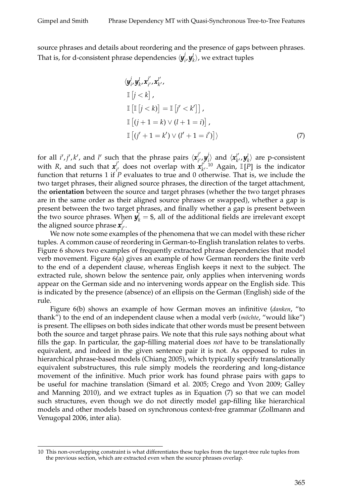source phrases and details about reordering and the presence of gaps between phrases. That is, for d-consistent phrase dependencies  $\langle \bm{y}_i^j \rangle$  $\langle \boldsymbol{y}_i^l, \boldsymbol{y}_k^l \rangle$ , we extract tuples

$$
\langle \mathbf{y}_i^j, \mathbf{y}_k^l, \mathbf{x}_{i'}^{l'}, \mathbf{x}_{k'}^{l'},
$$
  
\n
$$
\mathbb{I} \left[ j < k \right],
$$
  
\n
$$
\mathbb{I} \left[ \mathbb{I} \left[ j < k \right] \right] = \mathbb{I} \left[ j' < k' \right],
$$
  
\n
$$
\mathbb{I} \left[ (j+1=k) \vee (l+1=i) \right],
$$
  
\n
$$
\mathbb{I} \left[ (j'+1=k') \vee (l'+1=i') \right] \rangle
$$
\n(7)

for all *i'*, *j'*, *k'*, and *l'* such that the phrase pairs  $\langle \mathbf{x}^{j'}_{i'} \rangle$ *i* 0 ,*y j*  $\left\langle \boldsymbol{x}_{k'}^{j}\right\rangle$  and  $\left\langle \boldsymbol{x}_{k'}^{l'}\right\rangle$  $\left\langle \boldsymbol{y}_{k'}^{l'}, \boldsymbol{y}_{k}^{l} \right\rangle$  are p-consistent with *R*, and such that  $x_j^{j'}$  $\mathbf{z}_{i'}^{j'}$  does not overlap with  $\mathbf{x}_{k'}^{j'}$  $\int_{k'}^{l'}$  <sup>10</sup> Again,  $\mathbb{I}[P]$  is the indicator function that returns 1 if *P* evaluates to true and 0 otherwise. That is, we include the two target phrases, their aligned source phrases, the direction of the target attachment, the **orientation** between the source and target phrases (whether the two target phrases are in the same order as their aligned source phrases or swapped), whether a gap is present between the two target phrases, and finally whether a gap is present between the two source phrases. When  $y_k^l = $$ , all of the additional fields are irrelevant except the aligned source phrase  $x_i^j$ ,<br>i' ·

We now note some examples of the phenomena that we can model with these richer tuples. A common cause of reordering in German-to-English translation relates to verbs. Figure 6 shows two examples of frequently extracted phrase dependencies that model verb movement. Figure 6(a) gives an example of how German reorders the finite verb to the end of a dependent clause, whereas English keeps it next to the subject. The extracted rule, shown below the sentence pair, only applies when intervening words appear on the German side and no intervening words appear on the English side. This is indicated by the presence (absence) of an ellipsis on the German (English) side of the rule.

Figure 6(b) shows an example of how German moves an infinitive (*danken*, "to thank") to the end of an independent clause when a modal verb (*möchte*, "would like") is present. The ellipses on both sides indicate that other words must be present between both the source and target phrase pairs. We note that this rule says nothing about what fills the gap. In particular, the gap-filling material does *not* have to be translationally equivalent, and indeed in the given sentence pair it is not. As opposed to rules in hierarchical phrase-based models (Chiang 2005), which typically specify translationally equivalent substructures, this rule simply models the reordering and long-distance movement of the infinitive. Much prior work has found phrase pairs with gaps to be useful for machine translation (Simard et al. 2005; Crego and Yvon 2009; Galley and Manning 2010), and we extract tuples as in Equation (7) so that we can model such structures, even though we do not directly model gap-filling like hierarchical models and other models based on synchronous context-free grammar (Zollmann and Venugopal 2006, inter alia).

<sup>10</sup> This non-overlapping constraint is what differentiates these tuples from the target-tree rule tuples from the previous section, which are extracted even when the source phrases overlap.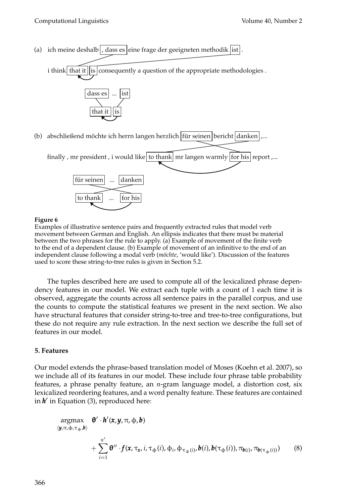(a) ich meine deshalb | , dass es | eine frage der geeigneten methodik  $|\text{ist}|$ .

i think that it is consequently a question of the appropriate methodologies .



(b) abschließend möchte ich herrn langen herzlich |für seinen|bericht|danken|,...



#### **Figure 6**

Examples of illustrative sentence pairs and frequently extracted rules that model verb movement between German and English. An ellipsis indicates that there must be material between the two phrases for the rule to apply. (a) Example of movement of the finite verb to the end of a dependent clause. (b) Example of movement of an infinitive to the end of an independent clause following a modal verb (*möchte*, 'would like'). Discussion of the features used to score these string-to-tree rules is given in Section 5.2.

The tuples described here are used to compute all of the lexicalized phrase dependency features in our model. We extract each tuple with a count of 1 each time it is observed, aggregate the counts across all sentence pairs in the parallel corpus, and use the counts to compute the statistical features we present in the next section. We also have structural features that consider string-to-tree and tree-to-tree configurations, but these do not require any rule extraction. In the next section we describe the full set of features in our model.

# **5. Features**

Our model extends the phrase-based translation model of Moses (Koehn et al. 2007), so we include all of its features in our model. These include four phrase table probability features, a phrase penalty feature, an *n*-gram language model, a distortion cost, six lexicalized reordering features, and a word penalty feature. These features are contained in  $h'$  in Equation (3), reproduced here:

$$
\arg\max_{(\mathbf{y},\pi,\phi,\tau_{\phi},\mathbf{b})} \mathbf{\theta}' \cdot \mathbf{h}'(\mathbf{x},\mathbf{y},\pi,\phi,\mathbf{b})
$$
  
+ 
$$
\sum_{i=1}^{n'} \mathbf{\theta}'' \cdot f(\mathbf{x},\tau_{\mathbf{x}},i,\tau_{\phi}(i),\phi_{i},\phi_{\tau_{\phi}(i)},\mathbf{b}(i),\mathbf{b}(\tau_{\phi}(i)),\pi_{\mathbf{b}(i)},\pi_{\mathbf{b}(\tau_{\phi}(i))})
$$
(8)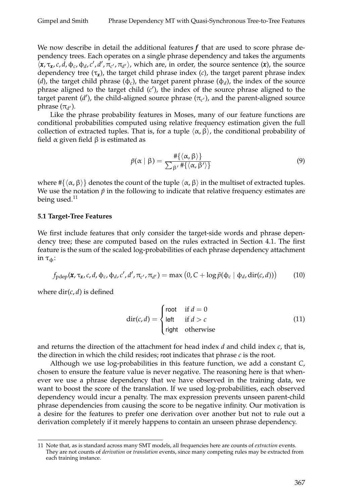We now describe in detail the additional features  $f$  that are used to score phrase dependency trees. Each operates on a single phrase dependency and takes the arguments  $\langle x, \tau_x, c, d, \phi_c, \phi_d, c', d', \pi_{c'}, \pi_{d'} \rangle$ , which are, in order, the source sentence  $(x)$ , the source dependency tree (τ*<sup>x</sup>* ), the target child phrase index (*c*), the target parent phrase index (*d*), the target child phrase ( $\phi_c$ ), the target parent phrase ( $\phi_d$ ), the index of the source phrase aligned to the target child (c'), the index of the source phrase aligned to the target parent (d'), the child-aligned source phrase ( $\pi_{c'}$ ), and the parent-aligned source phrase  $(\pi_{d^{\prime}})$ .

Like the phrase probability features in Moses, many of our feature functions are conditional probabilities computed using relative frequency estimation given the full collection of extracted tuples. That is, for a tuple  $\langle \alpha, \beta \rangle$ , the conditional probability of field  $\alpha$  given field  $\beta$  is estimated as

$$
\tilde{p}(\alpha \mid \beta) = \frac{\#\{\langle \alpha, \beta \rangle\}}{\sum_{\beta'} \#\{\langle \alpha, \beta' \rangle\}}
$$
\n(9)

where  $\#\{\langle \alpha, \beta \rangle\}$  denotes the count of the tuple  $\langle \alpha, \beta \rangle$  in the multiset of extracted tuples. We use the notation  $\tilde{p}$  in the following to indicate that relative frequency estimates are being used. $11$ 

### **5.1 Target-Tree Features**

We first include features that only consider the target-side words and phrase dependency tree; these are computed based on the rules extracted in Section 4.1. The first feature is the sum of the scaled log-probabilities of each phrase dependency attachment in  $τ_{\phi}$ :

$$
f_{\text{pdep}}(\mathbf{x}, \tau_{\mathbf{x}}, c, d, \phi_c, \phi_d, c', d', \pi_{c'}, \pi_{d'}) = \max (0, C + \log \tilde{p}(\phi_c \mid \phi_d, \text{dir}(c, d))) \tag{10}
$$

where  $\text{dir}(c, d)$  is defined

$$
\text{dir}(c, d) = \begin{cases} \text{root} & \text{if } d = 0\\ \text{left} & \text{if } d > c\\ \text{right} & \text{otherwise} \end{cases} \tag{11}
$$

and returns the direction of the attachment for head index *d* and child index *c*, that is, the direction in which the child resides; root indicates that phrase *c* is the root.

Although we use log-probabilities in this feature function, we add a constant *C*, chosen to ensure the feature value is never negative. The reasoning here is that whenever we use a phrase dependency that we have observed in the training data, we want to boost the score of the translation. If we used log-probabilities, each observed dependency would incur a penalty. The max expression prevents unseen parent-child phrase dependencies from causing the score to be negative infinity. Our motivation is a desire for the features to prefer one derivation over another but not to rule out a derivation completely if it merely happens to contain an unseen phrase dependency.

<sup>11</sup> Note that, as is standard across many SMT models, all frequencies here are counts of *extraction* events. They are not counts of *derivation* or *translation* events, since many competing rules may be extracted from each training instance.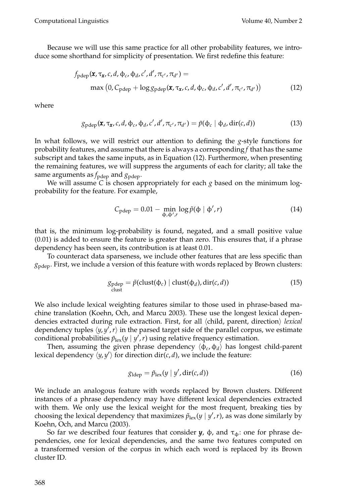Because we will use this same practice for all other probability features, we introduce some shorthand for simplicity of presentation. We first redefine this feature:

$$
f_{\text{pdep}}(\mathbf{x}, \tau_{\mathbf{x}}, c, d, \phi_c, \phi_d, c', d', \pi_{c'}, \pi_{d'}) =
$$
  
max (0, C\_{\text{pdep}} + \log g\_{\text{pdep}}(\mathbf{x}, \tau\_{\mathbf{x}}, c, d, \phi\_c, \phi\_d, c', d', \pi\_{c'}, \pi\_{d'}) ) (12)

where

$$
g_{\text{pdep}}(\mathbf{x}, \tau_{\mathbf{x}}, c, d, \phi_c, \phi_d, c', d', \pi_{c'}, \pi_{d'}) = \tilde{p}(\phi_c \mid \phi_d, \text{dir}(c, d))
$$
(13)

In what follows, we will restrict our attention to defining the *g*-style functions for probability features, and assume that there is always a corresponding *f* that has the same subscript and takes the same inputs, as in Equation (12). Furthermore, when presenting the remaining features, we will suppress the arguments of each for clarity; all take the same arguments as  $f_{\text{pdep}}$  and  $g_{\text{pdep}}$ .

We will assume *C* is chosen appropriately for each *g* based on the minimum logprobability for the feature. For example,

$$
C_{\text{pdep}} = 0.01 - \min_{\phi, \phi', r} \log \tilde{p}(\phi \mid \phi', r) \tag{14}
$$

that is, the minimum log-probability is found, negated, and a small positive value (0.01) is added to ensure the feature is greater than zero. This ensures that, if a phrase dependency has been seen, its contribution is at least 0.01.

To counteract data sparseness, we include other features that are less specific than *g*pdep. First, we include a version of this feature with words replaced by Brown clusters:

$$
g_{\text{pdep}} = \tilde{p}(\text{clust}(\Phi_c) \mid \text{clust}(\Phi_d), \text{dir}(c, d))
$$
\n<sup>(15)</sup>

We also include lexical weighting features similar to those used in phrase-based machine translation (Koehn, Och, and Marcu 2003). These use the longest lexical dependencies extracted during rule extraction. First, for all *(child, parent, direction) lexical* dependency tuples  $\langle y, y', r \rangle$  in the parsed target side of the parallel corpus, we estimate conditional probabilities  $\tilde{p}_{\text{lex}}(y \mid y', r)$  using relative frequency estimation.

Then, assuming the given phrase dependency  $\langle \phi_c, \phi_d \rangle$  has longest child-parent lexical dependency  $\langle y, y' \rangle$  for direction dir(*c*, *d*), we include the feature:

$$
g_{\rm ldep} = \tilde{p}_{\rm lex}(y \mid y', \operatorname{dir}(c, d)) \tag{16}
$$

We include an analogous feature with words replaced by Brown clusters. Different instances of a phrase dependency may have different lexical dependencies extracted with them. We only use the lexical weight for the most frequent, breaking ties by choosing the lexical dependency that maximizes  $\tilde{p}_{\text{lex}}(y \mid y', r)$ , as was done similarly by Koehn, Och, and Marcu (2003).

So far we described four features that consider  $y$ ,  $\phi$ , and  $\tau_{\phi}$ : one for phrase dependencies, one for lexical dependencies, and the same two features computed on a transformed version of the corpus in which each word is replaced by its Brown cluster ID.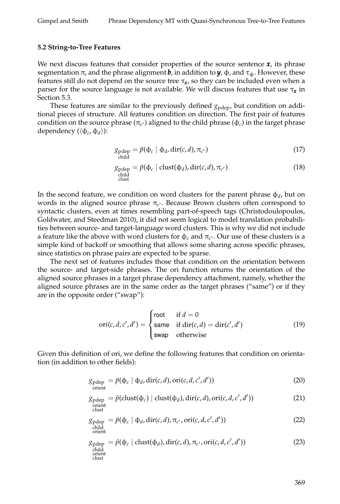#### **5.2 String-to-Tree Features**

We next discuss features that consider properties of the source sentence *x*, its phrase segmentation  $\pi$ , and the phrase alignment **b**, in addition to **y**,  $\varphi$ , and  $\tau_{\varphi}$ . However, these features still do not depend on the source tree  $\tau_{\pmb{x} }$ , so they can be included even when a parser for the source language is not available. We will discuss features that use τ*<sup>x</sup>* in Section 5.3.

These features are similar to the previously defined  $g_{\text{pdep}}$ , but condition on additional pieces of structure. All features condition on direction. The first pair of features condition on the source phrase  $(\pi_{c'})$  aligned to the child phrase  $(\varphi_c)$  in the target phrase dependency ( $\langle \Phi_c, \Phi_d \rangle$ ):

$$
g_{\text{pdep}} = \tilde{p}(\Phi_c \mid \Phi_d, \text{dir}(c, d), \pi_{c'})
$$
\n(17)

$$
g_{\text{pdep}} = \tilde{p}(\Phi_c \mid \text{clust}(\Phi_d), \text{dir}(c, d), \pi_{c'})
$$
\n(18)

\nclust

In the second feature, we condition on word clusters for the parent phrase  $\phi_d$ , but on words in the aligned source phrase  $\pi_{c'}$ . Because Brown clusters often correspond to syntactic clusters, even at times resembling part-of-speech tags (Christodoulopoulos, Goldwater, and Steedman 2010), it did not seem logical to model translation probabilities between source- and target-language word clusters. This is why we did not include a feature like the above with word clusters for  $\phi_c$  and  $\pi_{c'}$ . Our use of these clusters is a simple kind of backoff or smoothing that allows some sharing across specific phrases, since statistics on phrase pairs are expected to be sparse.

The next set of features includes those that condition on the orientation between the source- and target-side phrases. The ori function returns the orientation of the aligned source phrases in a target phrase dependency attachment, namely, whether the aligned source phrases are in the same order as the target phrases ("same") or if they are in the opposite order ("swap"):

$$
ori(c, d, c', d') = \begin{cases} root & \text{if } d = 0\\ same & \text{if } dir(c, d) = dir(c', d')\\ swap & \text{otherwise} \end{cases}
$$
(19)

Given this definition of ori, we define the following features that condition on orientation (in addition to other fields):

$$
g_{\text{pdep}} = \tilde{p}(\Phi_c \mid \Phi_d, \text{dir}(c, d), \text{ori}(c, d, c', d')) \tag{20}
$$

$$
g_{\text{pdep}} = \tilde{p}(\text{clust}(\phi_c) \mid \text{clust}(\phi_d), \text{dir}(c, d), \text{ori}(c, d, c', d'))
$$
(21)  
orient  
clust

$$
g_{\text{pdep}} = \tilde{p}(\Phi_c \mid \Phi_d, \text{dir}(c, d), \pi_{c'}, \text{ori}(c, d, c', d'))
$$
\n(22)

\norient

$$
g_{\text{pdep}} = \tilde{p}(\Phi_c \mid \text{clust}(\Phi_d), \text{dir}(c, d), \pi_{c'}, \text{ori}(c, d, c', d'))
$$
\nchild  
\nclust  
\nclust  
\nclust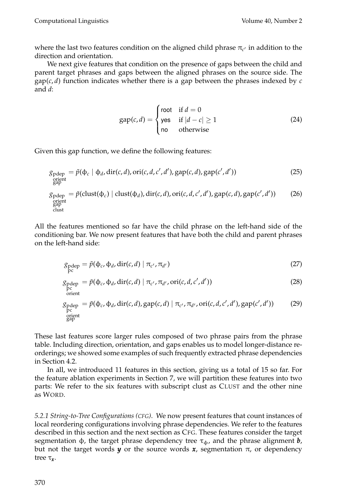where the last two features condition on the aligned child phrase  $\pi_{c'}$  in addition to the direction and orientation.

We next give features that condition on the presence of gaps between the child and parent target phrases and gaps between the aligned phrases on the source side. The  $gap(c, d)$  function indicates whether there is a gap between the phrases indexed by  $c$ and *d*:

$$
gap(c,d) = \begin{cases} root & \text{if } d = 0\\ yes & \text{if } |d - c| \ge 1\\ no & \text{otherwise} \end{cases}
$$
 (24)

Given this gap function, we define the following features:

$$
g_{\text{pdep}} = \tilde{p}(\Phi_c | \Phi_d, \text{dir}(c, d), \text{ori}(c, d, c', d'), \text{gap}(c, d), \text{gap}(c', d'))
$$
\n
$$
g_{\text{pdep}} = \tilde{p}(\text{clust}(\Phi_c) | \text{clust}(\Phi_d), \text{dir}(c, d), \text{ori}(c, d, c', d'), \text{gap}(c, d), \text{gap}(c', d'))
$$
\n
$$
g_{\text{pdep}} = \tilde{p}(\text{clust}(\Phi_c) | \text{clust}(\Phi_d), \text{dir}(c, d), \text{ori}(c, d, c', d'), \text{gap}(c, d), \text{gap}(c', d'))
$$
\n
$$
(26)
$$
\n
$$
g_{\text{pdep}} = g_{\text{clust}} = g_{\text{pdep}} = g_{\text{clust}} = g_{\text{pdep}} = g_{\text{pdep}} = g_{\text{pdep}} = g_{\text{pdep}} = g_{\text{pdep}} = g_{\text{pdep}} = g_{\text{pdep}} = g_{\text{pdep}} = g_{\text{pdep}} = g_{\text{pdep}} = g_{\text{pdep}} = g_{\text{pdep}} = g_{\text{pdep}} = g_{\text{pdep}} = g_{\text{pdep}} = g_{\text{pdep}} = g_{\text{pdep}} = g_{\text{pdep}} = g_{\text{pdep}} = g_{\text{pdep}} = g_{\text{pdep}} = g_{\text{pdep}} = g_{\text{pdep}} = g_{\text{pdep}} = g_{\text{pdep}} = g_{\text{pdep}} = g_{\text{pdep}} = g_{\text{pdep}} = g_{\text{pdep}} = g_{\text{pdep}} = g_{\text{pdep}} = g_{\text{pdep}} = g_{\text{pdep}} = g_{\text{pdep}} = g_{\text{pdep}} = g_{\text{pdep}} = g_{\text{pdep}} = g_{\text{pdep}} = g_{\text{pdep}} = g_{\text{pdep}} = g_{\text{pdep}} = g_{\text{pdep}} = g_{\text{pdep}} = g_{\text{pdep}} = g_{\text{pdep}} = g_{\text{pdep}} = g_{\text{pdep}} = g_{\text{pdep}} = g_{\text{pdep}} = g_{\text{pdep}} = g_{\text{pdep}} = g_{\text{pdep
$$

All the features mentioned so far have the child phrase on the left-hand side of the conditioning bar. We now present features that have both the child and parent phrases on the left-hand side:

$$
\mathcal{S}_{\text{pdep}} = \tilde{p}(\Phi_c, \Phi_d, \text{dir}(c, d) \mid \pi_{c'}, \pi_{d'})
$$
\n(27)

$$
\mathcal{G}_{\text{pdep}} = \tilde{p}(\Phi_c, \Phi_d, \text{dir}(c, d) \mid \pi_{c'}, \pi_{d'}, \text{ori}(c, d, c', d'))
$$
\n
$$
\mathcal{G}_{\text{pre}}^{\text{pc}} \tag{28}
$$

$$
g_{\text{pdep}} = \tilde{p}(\phi_c, \phi_d, \text{dir}(c, d), \text{gap}(c, d) | \pi_{c'}, \pi_{d'}, \text{ori}(c, d, c', d'), \text{gap}(c', d'))
$$
(29)  
open  
graph  
gap

These last features score larger rules composed of two phrase pairs from the phrase table. Including direction, orientation, and gaps enables us to model longer-distance reorderings; we showed some examples of such frequently extracted phrase dependencies in Section 4.2.

In all, we introduced 11 features in this section, giving us a total of 15 so far. For the feature ablation experiments in Section 7, we will partition these features into two parts: We refer to the six features with subscript clust as CLUST and the other nine as WORD.

*5.2.1 String-to-Tree Configurations (CFG)*. We now present features that count instances of local reordering configurations involving phrase dependencies. We refer to the features described in this section and the next section as CFG. These features consider the target segmentation  $\phi$ , the target phrase dependency tree  $\tau_{\phi}$ , and the phrase alignment **b**, but not the target words  $y$  or the source words  $x$ , segmentation  $\pi$ , or dependency tree τ*<sup>x</sup>* .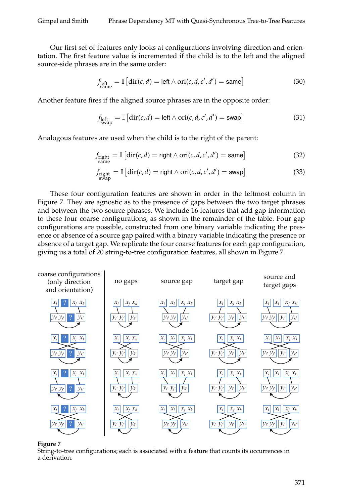Our first set of features only looks at configurations involving direction and orientation. The first feature value is incremented if the child is to the left and the aligned source-side phrases are in the same order:

$$
f_{\text{left}} = \mathbb{I}\left[\text{dir}(c,d) = \text{left} \wedge \text{ori}(c,d,c',d') = \text{same}\right]\right]
$$
(30)

Another feature fires if the aligned source phrases are in the opposite order:

$$
f_{\text{left}}_{\text{swap}} = \mathbb{I}\left[\text{dir}(c,d) = \text{left} \wedge \text{ori}(c,d,c',d') = \text{swap}\right] \tag{31}
$$

Analogous features are used when the child is to the right of the parent:

$$
f_{\text{right}} = \mathbb{I}\left[\text{dir}(c,d) = \text{right} \wedge \text{ori}(c,d,c',d') = \text{same}\right]
$$
 (32)

$$
f_{\text{right}}_{\text{swap}} = \mathbb{I}\left[\text{dir}(c,d) = \text{right} \wedge \text{ori}(c,d,c',d') = \text{swap}\right]
$$
(33)

These four configuration features are shown in order in the leftmost column in Figure 7. They are agnostic as to the presence of gaps between the two target phrases and between the two source phrases. We include 16 features that add gap information to these four coarse configurations, as shown in the remainder of the table. Four gap configurations are possible, constructed from one binary variable indicating the presence or absence of a source gap paired with a binary variable indicating the presence or absence of a target gap. We replicate the four coarse features for each gap configuration, giving us a total of 20 string-to-tree configuration features, all shown in Figure 7.



#### **Figure 7**

String-to-tree configurations; each is associated with a feature that counts its occurrences in a derivation.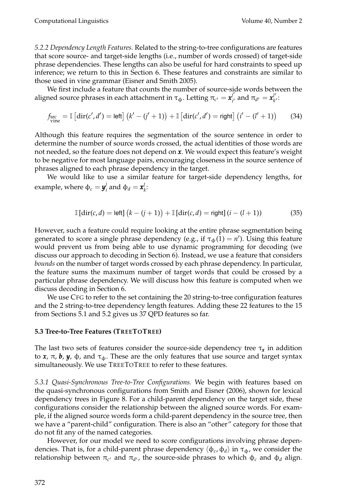*5.2.2 Dependency Length Features.* Related to the string-to-tree configurations are features that score source- and target-side lengths (i.e., number of words crossed) of target-side phrase dependencies. These lengths can also be useful for hard constraints to speed up inference; we return to this in Section 6. These features and constraints are similar to those used in vine grammar (Eisner and Smith 2005).

We first include a feature that counts the number of source-side words between the  $\frac{1}{2}$ aligned source phrases in each attachment in  $\tau_{\Phi}.$  Letting  $\pi_{c'} = \pmb{\mathit{x}}_i^j$ *i*<sup>'</sup> and  $π_{d'} = x_{k'}^{l'}$ *k*':

$$
f_{\text{wire}} = \mathbb{I}\left[\text{dir}(c', d') = \text{left}\right] \left(k' - (j' + 1)\right) + \mathbb{I}\left[\text{dir}(c', d') = \text{right}\right] \left(i' - (l' + 1)\right) \tag{34}
$$

Although this feature requires the segmentation of the source sentence in order to determine the number of source words crossed, the actual identities of those words are not needed, so the feature does not depend on *x*. We would expect this feature's weight to be negative for most language pairs, encouraging closeness in the source sentence of phrases aligned to each phrase dependency in the target.

We would like to use a similar feature for target-side dependency lengths, for example, where  $\phi_c = \bm{y}_i^j$  $\mathbf{a}_i^j$  and  $\mathbf{\Phi}_d = \mathbf{x}_k^l$ :

$$
\mathbb{I}\left[\text{dir}(c,d) = \text{left}\right](k - (j+1)) + \mathbb{I}\left[\text{dir}(c,d) = \text{right}\right](i - (l+1))\tag{35}
$$

However, such a feature could require looking at the entire phrase segmentation being generated to score a single phrase dependency (e.g., if  $\tau_{\phi}(1) = n'$ ). Using this feature would prevent us from being able to use dynamic programming for decoding (we discuss our approach to decoding in Section 6). Instead, we use a feature that considers *bounds* on the number of target words crossed by each phrase dependency. In particular, the feature sums the maximum number of target words that could be crossed by a particular phrase dependency. We will discuss how this feature is computed when we discuss decoding in Section 6.

We use CFG to refer to the set containing the 20 string-to-tree configuration features and the 2 string-to-tree dependency length features. Adding these 22 features to the 15 from Sections 5.1 and 5.2 gives us 37 QPD features so far.

### **5.3 Tree-to-Tree Features (TREETOTREE)**

The last two sets of features consider the source-side dependency tree τ*<sup>x</sup>* in addition to *x*, π, **b**, *y*, φ, and  $τ_Φ$ . These are the only features that use source and target syntax simultaneously. We use TREETOTREE to refer to these features.

*5.3.1 Quasi-Synchronous Tree-to-Tree Configurations.* We begin with features based on the quasi-synchronous configurations from Smith and Eisner (2006), shown for lexical dependency trees in Figure 8. For a child-parent dependency on the target side, these configurations consider the relationship between the aligned source words. For example, if the aligned source words form a child-parent dependency in the source tree, then we have a "parent-child" configuration. There is also an "other" category for those that do not fit any of the named categories.

However, for our model we need to score configurations involving phrase dependencies. That is, for a child-parent phrase dependency  $\langle \phi_c, \phi_d \rangle$  in τ<sub>φ</sub>, we consider the relationship between  $\pi_{c'}$  and  $\pi_{d'}$ , the source-side phrases to which  $φ_c$  and  $φ_d$  align.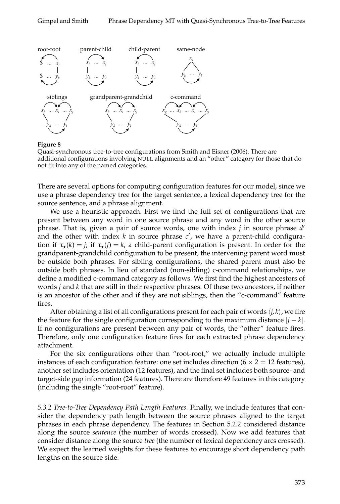

#### **Figure 8**

Quasi-synchronous tree-to-tree configurations from Smith and Eisner (2006). There are additional configurations involving NULL alignments and an "other" category for those that do not fit into any of the named categories.

There are several options for computing configuration features for our model, since we use a phrase dependency tree for the target sentence, a lexical dependency tree for the source sentence, and a phrase alignment.

We use a heuristic approach. First we find the full set of configurations that are present between any word in one source phrase and any word in the other source phrase. That is, given a pair of source words, one with index *j* in source phrase *d* 0 and the other with index  $k$  in source phrase  $c'$ , we have a parent-child configuration if  $\tau_{\mathbf{x}}(k) = j$ ; if  $\tau_{\mathbf{x}}(j) = k$ , a child-parent configuration is present. In order for the grandparent-grandchild configuration to be present, the intervening parent word must be outside both phrases. For sibling configurations, the shared parent must also be outside both phrases. In lieu of standard (non-sibling) c-command relationships, we define a modified c-command category as follows. We first find the highest ancestors of words *j* and *k* that are still in their respective phrases. Of these two ancestors, if neither is an ancestor of the other and if they are not siblings, then the "c-command" feature fires.

After obtaining a list of all configurations present for each pair of words  $\langle i, k \rangle$ , we fire the feature for the single configuration corresponding to the maximum distance |*j* − *k*|. If no configurations are present between any pair of words, the "other" feature fires. Therefore, only one configuration feature fires for each extracted phrase dependency attachment.

For the six configurations other than "root-root," we actually include multiple instances of each configuration feature: one set includes direction ( $6 \times 2 = 12$  features), another set includes orientation (12 features), and the final set includes both source- and target-side gap information (24 features). There are therefore 49 features in this category (including the single "root-root" feature).

*5.3.2 Tree-to-Tree Dependency Path Length Features.* Finally, we include features that consider the dependency path length between the source phrases aligned to the target phrases in each phrase dependency. The features in Section 5.2.2 considered distance along the source *sentence* (the number of words crossed). Now we add features that consider distance along the source *tree* (the number of lexical dependency arcs crossed). We expect the learned weights for these features to encourage short dependency path lengths on the source side.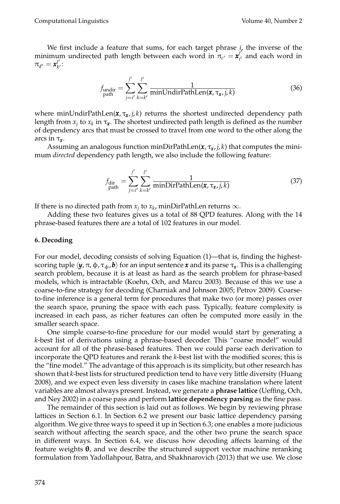We first include a feature that sums, for each target phrase  $\mu$ , the inverse of the minimum undirected path length between each word in  $\pi_{c'} = \mathbf{x}_i^j$  $\mathbf{a}'_{i'}$  and each word in  $\pi_{d'} = \pmb{x}^{l'}_{k'}$ *k*':

$$
f_{\text{undir}} = \sum_{j=i'}^{j'} \sum_{k=k'}^{l'} \frac{1}{\text{minUndirPathLen}(\mathbf{x}, \tau_{\mathbf{x}}, j, k)}
$$
(36)

where minUndirPathLen(*x*, τ*<sup>x</sup>* , *j*, *k*) returns the shortest undirected dependency path length from  $x_j$  to  $x_k$  in  $\tau_{\mathbf{x}}$ . The shortest undirected path length is defined as the number of dependency arcs that must be crossed to travel from one word to the other along the arcs in τ*<sup>x</sup>* .

Assuming an analogous function minDirPathLen(*x*, τ*<sup>x</sup>* , *j*, *k*) that computes the minimum *directed* dependency path length, we also include the following feature:

$$
f_{\text{dir}} = \sum_{\text{path}}' \sum_{i'=i'}^{i'} \frac{1}{\text{minDirPathLen}(\mathbf{x}, \tau_{\mathbf{x}, j}, k)}
$$
(37)

If there is no directed path from  $x_j$  to  $x_k$ , minDirPathLen returns  $\infty$ .

Adding these two features gives us a total of 88 QPD features. Along with the 14 phrase-based features there are a total of 102 features in our model.

### **6. Decoding**

For our model, decoding consists of solving Equation (1)—that is, finding the highestscoring tuple  $\langle y, \pi, \phi, \tau_\phi, b \rangle$  for an input sentence  $\pmb{x}$  and its parse  $\tau_{\pmb{x}}.$  This is a challenging search problem, because it is at least as hard as the search problem for phrase-based models, which is intractable (Koehn, Och, and Marcu 2003). Because of this we use a coarse-to-fine strategy for decoding (Charniak and Johnson 2005; Petrov 2009). Coarseto-fine inference is a general term for procedures that make two (or more) passes over the search space, pruning the space with each pass. Typically, feature complexity is increased in each pass, as richer features can often be computed more easily in the smaller search space.

One simple coarse-to-fine procedure for our model would start by generating a *k*-best list of derivations using a phrase-based decoder. This "coarse model" would account for all of the phrase-based features. Then we could parse each derivation to incorporate the QPD features and rerank the *k*-best list with the modified scores; this is the "fine model." The advantage of this approach is its simplicity, but other research has shown that *k*-best lists for structured prediction tend to have very little diversity (Huang 2008), and we expect even less diversity in cases like machine translation where latent variables are almost always present. Instead, we generate a **phrase lattice** (Ueffing, Och, and Ney 2002) in a coarse pass and perform **lattice dependency parsing** as the fine pass.

The remainder of this section is laid out as follows. We begin by reviewing phrase lattices in Section 6.1. In Section 6.2 we present our basic lattice dependency parsing algorithm. We give three ways to speed it up in Section 6.3; one enables a more judicious search without affecting the search space, and the other two prune the search space in different ways. In Section 6.4, we discuss how decoding affects learning of the feature weights  $\theta$ , and we describe the structured support vector machine reranking formulation from Yadollahpour, Batra, and Shakhnarovich (2013) that we use. We close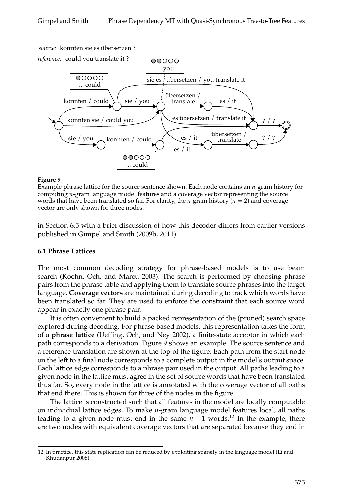

#### **Figure 9**

Example phrase lattice for the source sentence shown. Each node contains an *n*-gram history for computing *n*-gram language model features and a coverage vector representing the source words that have been translated so far. For clarity, the *n*-gram history ( $n = 2$ ) and coverage vector are only shown for three nodes.

in Section 6.5 with a brief discussion of how this decoder differs from earlier versions published in Gimpel and Smith (2009b, 2011).

### **6.1 Phrase Lattices**

The most common decoding strategy for phrase-based models is to use beam search (Koehn, Och, and Marcu 2003). The search is performed by choosing phrase pairs from the phrase table and applying them to translate source phrases into the target language. **Coverage vectors** are maintained during decoding to track which words have been translated so far. They are used to enforce the constraint that each source word appear in exactly one phrase pair.

It is often convenient to build a packed representation of the (pruned) search space explored during decoding. For phrase-based models, this representation takes the form of a **phrase lattice** (Ueffing, Och, and Ney 2002), a finite-state acceptor in which each path corresponds to a derivation. Figure 9 shows an example. The source sentence and a reference translation are shown at the top of the figure. Each path from the start node on the left to a final node corresponds to a complete output in the model's output space. Each lattice edge corresponds to a phrase pair used in the output. All paths leading to a given node in the lattice must agree in the set of source words that have been translated thus far. So, every node in the lattice is annotated with the coverage vector of all paths that end there. This is shown for three of the nodes in the figure.

The lattice is constructed such that all features in the model are locally computable on individual lattice edges. To make *n*-gram language model features local, all paths leading to a given node must end in the same  $n-1$  words.<sup>12</sup> In the example, there are two nodes with equivalent coverage vectors that are separated because they end in

<sup>12</sup> In practice, this state replication can be reduced by exploiting sparsity in the language model (Li and Khudanpur 2008).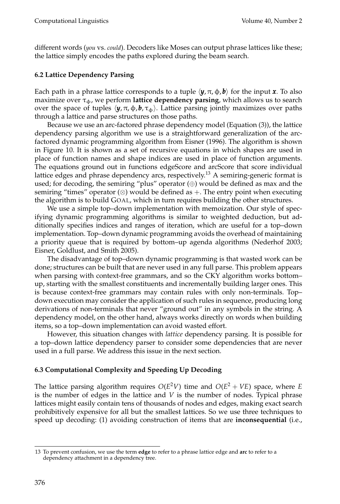different words (*you* vs. *could*). Decoders like Moses can output phrase lattices like these; the lattice simply encodes the paths explored during the beam search.

# **6.2 Lattice Dependency Parsing**

Each path in a phrase lattice corresponds to a tuple  $\langle y, \pi, \phi, b \rangle$  for the input **x**. To also maximize over  $\tau_{\phi}$ , we perform **lattice dependency parsing**, which allows us to search over the space of tuples  $\langle \mathbf{y}, \pi, \phi, \mathbf{b}, \tau_{\phi} \rangle$ . Lattice parsing jointly maximizes over paths through a lattice and parse structures on those paths.

Because we use an arc-factored phrase dependency model (Equation (3)), the lattice dependency parsing algorithm we use is a straightforward generalization of the arcfactored dynamic programming algorithm from Eisner (1996). The algorithm is shown in Figure 10. It is shown as a set of recursive equations in which shapes are used in place of function names and shape indices are used in place of function arguments. The equations ground out in functions edgeScore and arcScore that score individual lattice edges and phrase dependency arcs, respectively.<sup>13</sup> A semiring-generic format is used; for decoding, the semiring "plus" operator  $(\oplus)$  would be defined as max and the semiring "times" operator  $(\otimes)$  would be defined as +. The entry point when executing the algorithm is to build GOAL, which in turn requires building the other structures.

We use a simple top–down implementation with memoization. Our style of specifying dynamic programming algorithms is similar to weighted deduction, but additionally specifies indices and ranges of iteration, which are useful for a top–down implementation. Top–down dynamic programming avoids the overhead of maintaining a priority queue that is required by bottom–up agenda algorithms (Nederhof 2003; Eisner, Goldlust, and Smith 2005).

The disadvantage of top–down dynamic programming is that wasted work can be done; structures can be built that are never used in any full parse. This problem appears when parsing with context-free grammars, and so the CKY algorithm works bottom– up, starting with the smallest constituents and incrementally building larger ones. This is because context-free grammars may contain rules with only non-terminals. Top– down execution may consider the application of such rules in sequence, producing long derivations of non-terminals that never "ground out" in any symbols in the string. A dependency model, on the other hand, always works directly on words when building items, so a top–down implementation can avoid wasted effort.

However, this situation changes with *lattice* dependency parsing. It is possible for a top–down lattice dependency parser to consider some dependencies that are never used in a full parse. We address this issue in the next section.

# **6.3 Computational Complexity and Speeding Up Decoding**

The lattice parsing algorithm requires  $O(E^2V)$  time and  $O(E^2+VE)$  space, where *E* is the number of edges in the lattice and *V* is the number of nodes. Typical phrase lattices might easily contain tens of thousands of nodes and edges, making exact search prohibitively expensive for all but the smallest lattices. So we use three techniques to speed up decoding: (1) avoiding construction of items that are **inconsequential** (i.e.,

<sup>13</sup> To prevent confusion, we use the term **edge** to refer to a phrase lattice edge and **arc** to refer to a dependency attachment in a dependency tree.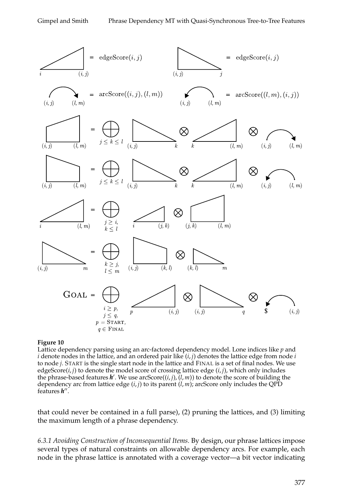

#### **Figure 10**

Lattice dependency parsing using an arc-factored dependency model. Lone indices like *p* and *i* denote nodes in the lattice, and an ordered pair like (*i*, *j*) denotes the lattice edge from node *i* to node *j*. START is the single start node in the lattice and FINAL is a set of final nodes. We use edgeScore(*i*, *j*) to denote the model score of crossing lattice edge (*i*, *j*), which only includes the phrase-based features **h**'. We use arcScore((*i*, *j*), (*l*, *m*)) to denote the score of building the dependency arc from lattice edge (*i*, *j*) to its parent (*l*, *m*); arcScore only includes the QPD features *h* 00 .

that could never be contained in a full parse), (2) pruning the lattices, and (3) limiting the maximum length of a phrase dependency.

*6.3.1 Avoiding Construction of Inconsequential Items.* By design, our phrase lattices impose several types of natural constraints on allowable dependency arcs. For example, each node in the phrase lattice is annotated with a coverage vector—a bit vector indicating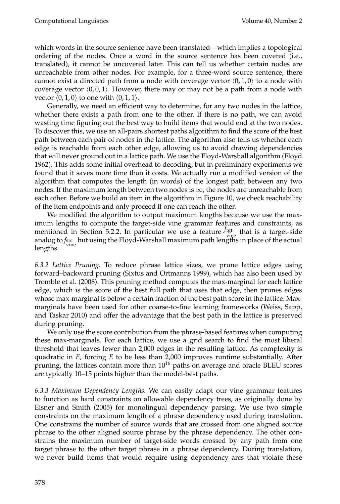which words in the source sentence have been translated—which implies a topological ordering of the nodes. Once a word in the source sentence has been covered (i.e., translated), it cannot be uncovered later. This can tell us whether certain nodes are unreachable from other nodes. For example, for a three-word source sentence, there cannot exist a directed path from a node with coverage vector  $(0, 1, 0)$  to a node with coverage vector  $(0, 0, 1)$ . However, there may or may not be a path from a node with vector  $\langle 0, 1, 0 \rangle$  to one with  $\langle 0, 1, 1 \rangle$ .

Generally, we need an efficient way to determine, for any two nodes in the lattice, whether there exists a path from one to the other. If there is no path, we can avoid wasting time figuring out the best way to build items that would end at the two nodes. To discover this, we use an all-pairs shortest paths algorithm to find the score of the best path between each pair of nodes in the lattice. The algorithm also tells us whether each edge is reachable from each other edge, allowing us to avoid drawing dependencies that will never ground out in a lattice path. We use the Floyd-Warshall algorithm (Floyd 1962). This adds some initial overhead to decoding, but in preliminary experiments we found that it saves more time than it costs. We actually run a modified version of the algorithm that computes the length (in words) of the longest path between any two nodes. If the maximum length between two nodes is  $\infty$ , the nodes are unreachable from each other. Before we build an item in the algorithm in Figure 10, we check reachability of the item endpoints and only proceed if one can reach the other.

We modified the algorithm to output maximum lengths because we use the maximum lengths to compute the target-side vine grammar features and constraints, as mentioned in Section 5.2.2. In particular we use a feature  $f_{\text{tgt}}^{\text{tgt}}$  that is a target-side analog to *fsrc*hut using the Floyd-Warshall maximum path lengths in place of the actual<br>lengths lengths.

*6.3.2 Lattice Pruning.* To reduce phrase lattice sizes, we prune lattice edges using forward–backward pruning (Sixtus and Ortmanns 1999), which has also been used by Tromble et al. (2008). This pruning method computes the max-marginal for each lattice edge, which is the score of the best full path that uses that edge, then prunes edges whose max-marginal is below a certain fraction of the best path score in the lattice. Maxmarginals have been used for other coarse-to-fine learning frameworks (Weiss, Sapp, and Taskar 2010) and offer the advantage that the best path in the lattice is preserved during pruning.

We only use the score contribution from the phrase-based features when computing these max-marginals. For each lattice, we use a grid search to find the most liberal threshold that leaves fewer than 2,000 edges in the resulting lattice. As complexity is quadratic in *E*, forcing *E* to be less than 2,000 improves runtime substantially. After pruning, the lattices contain more than  $10^{16}$  paths on average and oracle BLEU scores are typically 10–15 points higher than the model-best paths.

*6.3.3 Maximum Dependency Lengths.* We can easily adapt our vine grammar features to function as hard constraints on allowable dependency trees, as originally done by Eisner and Smith (2005) for monolingual dependency parsing. We use two simple constraints on the maximum length of a phrase dependency used during translation. One constrains the number of source words that are crossed from one aligned source phrase to the other aligned source phrase by the phrase dependency. The other constrains the maximum number of target-side words crossed by any path from one target phrase to the other target phrase in a phrase dependency. During translation, we never build items that would require using dependency arcs that violate these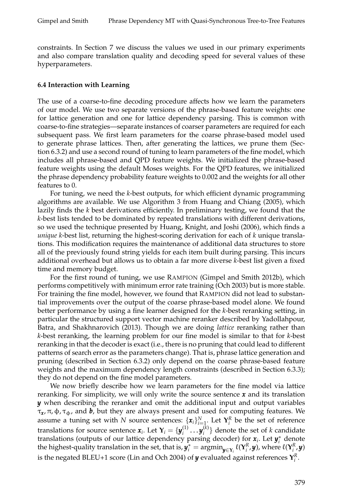constraints. In Section 7 we discuss the values we used in our primary experiments and also compare translation quality and decoding speed for several values of these hyperparameters.

#### **6.4 Interaction with Learning**

The use of a coarse-to-fine decoding procedure affects how we learn the parameters of our model. We use two separate versions of the phrase-based feature weights: one for lattice generation and one for lattice dependency parsing. This is common with coarse-to-fine strategies—separate instances of coarser parameters are required for each subsequent pass. We first learn parameters for the coarse phrase-based model used to generate phrase lattices. Then, after generating the lattices, we prune them (Section 6.3.2) and use a second round of tuning to learn parameters of the fine model, which includes all phrase-based and QPD feature weights. We initialized the phrase-based feature weights using the default Moses weights. For the QPD features, we initialized the phrase dependency probability feature weights to 0.002 and the weights for all other features to 0.

For tuning, we need the *k*-best outputs, for which efficient dynamic programming algorithms are available. We use Algorithm 3 from Huang and Chiang (2005), which lazily finds the *k* best derivations efficiently. In preliminary testing, we found that the *k*-best lists tended to be dominated by repeated translations with different derivations, so we used the technique presented by Huang, Knight, and Joshi (2006), which finds a *unique k*-best list, returning the highest-scoring derivation for each of *k* unique translations. This modification requires the maintenance of additional data structures to store all of the previously found string yields for each item built during parsing. This incurs additional overhead but allows us to obtain a far more diverse *k*-best list given a fixed time and memory budget.

For the first round of tuning, we use RAMPION (Gimpel and Smith 2012b), which performs competitively with minimum error rate training (Och 2003) but is more stable. For training the fine model, however, we found that RAMPION did not lead to substantial improvements over the output of the coarse phrase-based model alone. We found better performance by using a fine learner designed for the *k*-best reranking setting, in particular the structured support vector machine reranker described by Yadollahpour, Batra, and Shakhnarovich (2013). Though we are doing *lattice* reranking rather than *k*-best reranking, the learning problem for our fine model is similar to that for *k*-best reranking in that the decoder is exact (i.e., there is no pruning that could lead to different patterns of search error as the parameters change). That is, phrase lattice generation and pruning (described in Section 6.3.2) only depend on the coarse phrase-based feature weights and the maximum dependency length constraints (described in Section 6.3.3); they do not depend on the fine model parameters.

We now briefly describe how we learn parameters for the fine model via lattice reranking. For simplicity, we will only write the source sentence *x* and its translation *y* when describing the reranker and omit the additional input and output variables τ*x* , π, φ, τφ, and *b*, but they are always present and used for computing features. We assume a tuning set with *N* source sentences:  $\{x_i\}_{i=1}^N$ . Let  $\mathbf{Y}_i^R$  be the set of reference translations for source sentence  $\pmb{x}_i$ . Let  $\mathbf{Y}_i = \{\pmb{y}_i^{(1)}\}$  $\bm{y}_i^{(1)} \ldots \bm{y}_i^{(k)}$  $\binom{k}{i}$  denote the set of *k* candidate translations (outputs of our lattice dependency parsing decoder) for  $x_i$ . Let  $y_i^*$  denote the highest-quality translation in the set, that is,  $\hat{y_i^*} = \text{argmin}_{\hat{y} \in Y_i} \ell(Y_i^R, y)$ , where  $\ell(Y_i^R, y)$ is the negated BLEU+1 score (Lin and Och 2004) of  $\boldsymbol{y}$  evaluated against references  $\mathbf{Y}_{i}^R$ .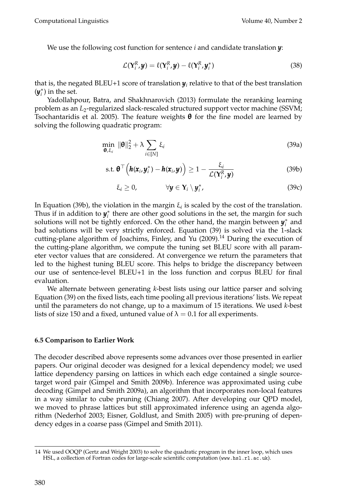We use the following cost function for sentence *i* and candidate translation *y*:

$$
\mathcal{L}(\mathbf{Y}_i^R, \mathbf{y}) = \ell(\mathbf{Y}_i^R, \mathbf{y}) - \ell(\mathbf{Y}_i^R, \mathbf{y}_i^*)
$$
\n(38)

that is, the negated BLEU+1 score of translation  $y_i$  relative to that of the best translation  $(\bm{y}_i^*)$  in the set.

Yadollahpour, Batra, and Shakhnarovich (2013) formulate the reranking learning problem as an  $L_2$ -regularized slack-rescaled structured support vector machine (SSVM; Tsochantaridis et al. 2005). The feature weights  $\theta$  for the fine model are learned by solving the following quadratic program:

$$
\min_{\mathbf{\theta}, \xi_i} \|\mathbf{\theta}\|_2^2 + \lambda \sum_{i \in [N]} \xi_i \tag{39a}
$$

$$
\text{s.t. } \boldsymbol{\theta}^{\top}\left(\boldsymbol{h}(\boldsymbol{x}_i,\boldsymbol{y}_i^*)-\boldsymbol{h}(\boldsymbol{x}_i,\boldsymbol{y})\right) \geq 1-\frac{\xi_i}{\mathcal{L}(\mathbf{Y}_i^R,\boldsymbol{y})}
$$
(39b)

$$
\xi_i \geq 0, \qquad \forall \mathbf{y} \in \mathbf{Y}_i \setminus \mathbf{y}_i^*, \qquad (39c)
$$

In Equation (39b), the violation in the margin  $\xi_i$  is scaled by the cost of the translation. Thus if in addition to  $y_i^*$  there are other good solutions in the set, the margin for such solutions will not be tightly enforced. On the other hand, the margin between  $y_i^*$  and bad solutions will be very strictly enforced. Equation (39) is solved via the 1-slack cutting-plane algorithm of Joachims, Finley, and Yu (2009).<sup>14</sup> During the execution of the cutting-plane algorithm, we compute the tuning set BLEU score with all parameter vector values that are considered. At convergence we return the parameters that led to the highest tuning BLEU score. This helps to bridge the discrepancy between our use of sentence-level BLEU+1 in the loss function and corpus BLEU for final evaluation.

We alternate between generating *k*-best lists using our lattice parser and solving Equation (39) on the fixed lists, each time pooling all previous iterations' lists. We repeat until the parameters do not change, up to a maximum of 15 iterations. We used *k*-best lists of size 150 and a fixed, untuned value of  $\lambda = 0.1$  for all experiments.

### **6.5 Comparison to Earlier Work**

The decoder described above represents some advances over those presented in earlier papers. Our original decoder was designed for a lexical dependency model; we used lattice dependency parsing on lattices in which each edge contained a single sourcetarget word pair (Gimpel and Smith 2009b). Inference was approximated using cube decoding (Gimpel and Smith 2009a), an algorithm that incorporates non-local features in a way similar to cube pruning (Chiang 2007). After developing our QPD model, we moved to phrase lattices but still approximated inference using an agenda algorithm (Nederhof 2003; Eisner, Goldlust, and Smith 2005) with pre-pruning of dependency edges in a coarse pass (Gimpel and Smith 2011).

<sup>14</sup> We used OOQP (Gertz and Wright 2003) to solve the quadratic program in the inner loop, which uses HSL, a collection of Fortran codes for large-scale scientific computation (www.hsl.rl.ac.uk).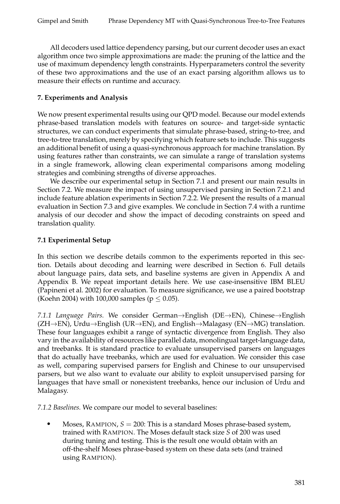All decoders used lattice dependency parsing, but our current decoder uses an exact algorithm once two simple approximations are made: the pruning of the lattice and the use of maximum dependency length constraints. Hyperparameters control the severity of these two approximations and the use of an exact parsing algorithm allows us to measure their effects on runtime and accuracy.

# **7. Experiments and Analysis**

We now present experimental results using our QPD model. Because our model extends phrase-based translation models with features on source- and target-side syntactic structures, we can conduct experiments that simulate phrase-based, string-to-tree, and tree-to-tree translation, merely by specifying which feature sets to include. This suggests an additional benefit of using a quasi-synchronous approach for machine translation. By using features rather than constraints, we can simulate a range of translation systems in a single framework, allowing clean experimental comparisons among modeling strategies and combining strengths of diverse approaches.

We describe our experimental setup in Section 7.1 and present our main results in Section 7.2. We measure the impact of using unsupervised parsing in Section 7.2.1 and include feature ablation experiments in Section 7.2.2. We present the results of a manual evaluation in Section 7.3 and give examples. We conclude in Section 7.4 with a runtime analysis of our decoder and show the impact of decoding constraints on speed and translation quality.

# **7.1 Experimental Setup**

In this section we describe details common to the experiments reported in this section. Details about decoding and learning were described in Section 6. Full details about language pairs, data sets, and baseline systems are given in Appendix A and Appendix B. We repeat important details here. We use case-insensitive IBM BLEU (Papineni et al. 2002) for evaluation. To measure significance, we use a paired bootstrap (Koehn 2004) with 100,000 samples ( $p \le 0.05$ ).

*7.1.1 Language Pairs.* We consider German→English (DE→EN), Chinese→English  $(ZH\rightarrow EN)$ , Urdu $\rightarrow$ English (UR $\rightarrow$ EN), and English $\rightarrow$ Malagasy (EN $\rightarrow$ MG) translation. These four languages exhibit a range of syntactic divergence from English. They also vary in the availability of resources like parallel data, monolingual target-language data, and treebanks. It is standard practice to evaluate unsupervised parsers on languages that do actually have treebanks, which are used for evaluation. We consider this case as well, comparing supervised parsers for English and Chinese to our unsupervised parsers, but we also want to evaluate our ability to exploit unsupervised parsing for languages that have small or nonexistent treebanks, hence our inclusion of Urdu and Malagasy.

*7.1.2 Baselines.* We compare our model to several baselines:

Moses, RAMPION,  $S = 200$ : This is a standard Moses phrase-based system, trained with RAMPION. The Moses default stack size *S* of 200 was used during tuning and testing. This is the result one would obtain with an off-the-shelf Moses phrase-based system on these data sets (and trained using RAMPION).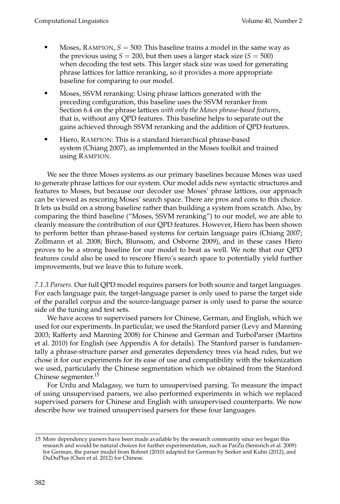- Moses, RAMPION,  $S = 500$ : This baseline trains a model in the same way as the previous using  $S = 200$ , but then uses a larger stack size  $(S = 500)$ when decoding the test sets. This larger stack size was used for generating phrase lattices for lattice reranking, so it provides a more appropriate baseline for comparing to our model.
- Moses, SSVM reranking: Using phrase lattices generated with the preceding configuration, this baseline uses the SSVM reranker from Section 6.4 on the phrase lattices *with only the Moses phrase-based features*, that is, without any QPD features. This baseline helps to separate out the gains achieved through SSVM reranking and the addition of QPD features.
- Hiero, RAMPION: This is a standard hierarchical phrase-based system (Chiang 2007), as implemented in the Moses toolkit and trained using RAMPION.

We see the three Moses systems as our primary baselines because Moses was used to generate phrase lattices for our system. Our model adds new syntactic structures and features to Moses, but because our decoder use Moses' phrase lattices, our approach can be viewed as rescoring Moses' search space. There are pros and cons to this choice. It lets us build on a strong baseline rather than building a system from scratch. Also, by comparing the third baseline ("Moses, SSVM reranking") to our model, we are able to cleanly measure the contribution of our QPD features. However, Hiero has been shown to perform better than phrase-based systems for certain language pairs (Chiang 2007; Zollmann et al. 2008; Birch, Blunsom, and Osborne 2009), and in these cases Hiero proves to be a strong baseline for our model to beat as well. We note that our QPD features could also be used to rescore Hiero's search space to potentially yield further improvements, but we leave this to future work.

*7.1.3 Parsers.* Our full QPD model requires parsers for both source and target languages. For each language pair, the target-language parser is only used to parse the target side of the parallel corpus and the source-language parser is only used to parse the source side of the tuning and test sets.

We have access to supervised parsers for Chinese, German, and English, which we used for our experiments. In particular, we used the Stanford parser (Levy and Manning 2003; Rafferty and Manning 2008) for Chinese and German and TurboParser (Martins et al. 2010) for English (see Appendix A for details). The Stanford parser is fundamentally a phrase-structure parser and generates dependency trees via head rules, but we chose it for our experiments for its ease of use and compatibility with the tokenization we used, particularly the Chinese segmentation which we obtained from the Stanford Chinese segmenter.<sup>15</sup>

For Urdu and Malagasy, we turn to unsupervised parsing. To measure the impact of using unsupervised parsers, we also performed experiments in which we replaced supervised parsers for Chinese and English with unsupervised counterparts. We now describe how we trained unsupervised parsers for these four languages.

<sup>15</sup> More dependency parsers have been made available by the research community since we began this research and would be natural choices for further experimentation, such as ParZu (Sennrich et al. 2009) for German, the parser model from Bohnet (2010) adapted for German by Seeker and Kuhn (2012), and DuDuPlus (Chen et al. 2012) for Chinese.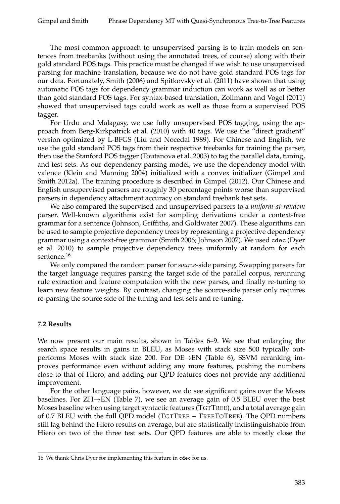The most common approach to unsupervised parsing is to train models on sentences from treebanks (without using the annotated trees, of course) along with their gold standard POS tags. This practice must be changed if we wish to use unsupervised parsing for machine translation, because we do not have gold standard POS tags for our data. Fortunately, Smith (2006) and Spitkovsky et al. (2011) have shown that using automatic POS tags for dependency grammar induction can work as well as or better than gold standard POS tags. For syntax-based translation, Zollmann and Vogel (2011) showed that unsupervised tags could work as well as those from a supervised POS tagger.

For Urdu and Malagasy, we use fully unsupervised POS tagging, using the approach from Berg-Kirkpatrick et al. (2010) with 40 tags. We use the "direct gradient" version optimized by L-BFGS (Liu and Nocedal 1989). For Chinese and English, we use the gold standard POS tags from their respective treebanks for training the parser, then use the Stanford POS tagger (Toutanova et al. 2003) to tag the parallel data, tuning, and test sets. As our dependency parsing model, we use the dependency model with valence (Klein and Manning 2004) initialized with a convex initializer (Gimpel and Smith 2012a). The training procedure is described in Gimpel (2012). Our Chinese and English unsupervised parsers are roughly 30 percentage points worse than supervised parsers in dependency attachment accuracy on standard treebank test sets.

We also compared the supervised and unsupervised parsers to a *uniform-at-random* parser. Well-known algorithms exist for sampling derivations under a context-free grammar for a sentence (Johnson, Griffiths, and Goldwater 2007). These algorithms can be used to sample projective dependency trees by representing a projective dependency grammar using a context-free grammar (Smith 2006; Johnson 2007). We used cdec (Dyer et al. 2010) to sample projective dependency trees uniformly at random for each sentence.<sup>16</sup>

We only compared the random parser for *source*-side parsing. Swapping parsers for the target language requires parsing the target side of the parallel corpus, rerunning rule extraction and feature computation with the new parses, and finally re-tuning to learn new feature weights. By contrast, changing the source-side parser only requires re-parsing the source side of the tuning and test sets and re-tuning.

### **7.2 Results**

We now present our main results, shown in Tables 6–9. We see that enlarging the search space results in gains in BLEU, as Moses with stack size 500 typically outperforms Moses with stack size 200. For DE→EN (Table 6), SSVM reranking improves performance even without adding any more features, pushing the numbers close to that of Hiero; and adding our QPD features does not provide any additional improvement.

For the other language pairs, however, we do see significant gains over the Moses baselines. For  $ZH \rightarrow EN$  (Table 7), we see an average gain of 0.5 BLEU over the best Moses baseline when using target syntactic features (TGTTREE), and a total average gain of 0.7 BLEU with the full QPD model (TGTTREE + TREETOTREE). The QPD numbers still lag behind the Hiero results on average, but are statistically indistinguishable from Hiero on two of the three test sets. Our QPD features are able to mostly close the

<sup>16</sup> We thank Chris Dyer for implementing this feature in cdec for us.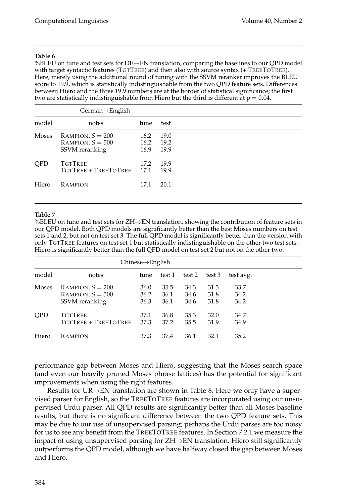%BLEU on tune and test sets for DE→EN translation, comparing the baselines to our QPD model with target syntactic features (TGTTREE) and then also with source syntax (+ TREETOTREE). Here, merely using the additional round of tuning with the SSVM reranker improves the BLEU score to 19.9, which is statistically indistinguishable from the two QPD feature sets. Differences between Hiero and the three 19.9 numbers are at the border of statistical significance; the first two are statistically indistinguishable from Hiero but the third is different at  $p = 0.04$ .

|            | $German \rightarrow English$ |      |      |
|------------|------------------------------|------|------|
| model      | notes                        | tune | test |
| Moses      | RAMPION, $S = 200$           | 16.2 | 19.0 |
|            | RAMPION, $S = 500$           | 16.2 | 19.2 |
|            | SSVM reranking               | 16.9 | 19.9 |
| <b>OPD</b> | <b>TGTTREE</b>               | 17.2 | 19.9 |
|            | TGTTREE + TREETOTREE         | 17.1 | 19.9 |
|            |                              |      |      |
| Hiero      | <b>RAMPION</b>               | 17.1 | 20.1 |
|            |                              |      |      |

#### **Table 7**

%BLEU on tune and test sets for  $ZH \rightarrow EN$  translation, showing the contribution of feature sets in our QPD model. Both QPD models are significantly better than the best Moses numbers on test sets 1 and 2, but not on test set 3. The full QPD model is significantly better than the version with only TGTTREE features on test set 1 but statistically indistinguishable on the other two test sets. Hiero is significantly better than the full QPD model on test set 2 but not on the other two.

|            | $Chinese \rightarrow English$                              |                      |                      |                      |                      |                      |  |  |
|------------|------------------------------------------------------------|----------------------|----------------------|----------------------|----------------------|----------------------|--|--|
| model      | notes                                                      | tune                 | test 1               | test 2               | test 3               | test avg.            |  |  |
| Moses      | RAMPION, $S = 200$<br>RAMPION, $S = 500$<br>SSVM reranking | 36.0<br>36.2<br>36.3 | 35.5<br>36.1<br>36.1 | 34.3<br>34.6<br>34.6 | 31.3<br>31.8<br>31.8 | 33.7<br>34.2<br>34.2 |  |  |
| <b>OPD</b> | <b>TGTTREE</b><br>TGTTREE + TREETOTREE                     | 37.1<br>37.3         | 36.8<br>37.2         | 35.3<br>35.5         | 32.0<br>31.9         | 34.7<br>34.9         |  |  |
| Hiero      | <b>RAMPION</b>                                             | 37.3                 | 37.4                 | 36.1                 | 32.1                 | 35.2                 |  |  |

performance gap between Moses and Hiero, suggesting that the Moses search space (and even our heavily pruned Moses phrase lattices) has the potential for significant improvements when using the right features.

Results for UR→EN translation are shown in Table 8. Here we only have a supervised parser for English, so the TREETOTREE features are incorporated using our unsupervised Urdu parser. All QPD results are significantly better than all Moses baseline results, but there is no significant difference between the two QPD feature sets. This may be due to our use of unsupervised parsing; perhaps the Urdu parses are too noisy for us to see any benefit from the TREETOTREE features. In Section 7.2.1 we measure the impact of using unsupervised parsing for ZH→EN translation. Hiero still significantly outperforms the QPD model, although we have halfway closed the gap between Moses and Hiero.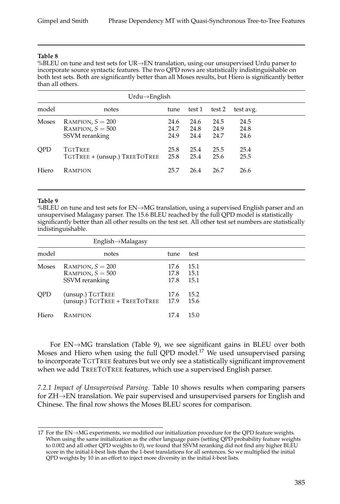%BLEU on tune and test sets for UR→EN translation, using our unsupervised Urdu parser to incorporate source syntactic features. The two QPD rows are statistically indistinguishable on both test sets. Both are significantly better than all Moses results, but Hiero is significantly better than all others.

|              | $Urdu \rightarrow$ English                                 |                      |                      |                      |                      |  |  |  |
|--------------|------------------------------------------------------------|----------------------|----------------------|----------------------|----------------------|--|--|--|
| model        | notes                                                      | tune                 | test 1               | test 2               | test avg.            |  |  |  |
| <b>Moses</b> | RAMPION, $S = 200$<br>RAMPION, $S = 500$<br>SSVM reranking | 24.6<br>24.7<br>24.9 | 24.6<br>24.8<br>24.4 | 24.5<br>24.9<br>24.7 | 24.5<br>24.8<br>24.6 |  |  |  |
| <b>OPD</b>   | <b>TGTTREE</b><br>TGTTREE + (unsup.) TREETOTREE            | 25.8<br>25.8         | 25.4<br>25.4         | 25.5<br>25.6         | 25.4<br>25.5         |  |  |  |
| Hiero        | <b>RAMPION</b>                                             | 25.7                 | 26.4                 | 26.7                 | 26.6                 |  |  |  |

#### **Table 9**

%BLEU on tune and test sets for EN→MG translation, using a supervised English parser and an unsupervised Malagasy parser. The 15.6 BLEU reached by the full QPD model is statistically significantly better than all other results on the test set. All other test set numbers are statistically indistinguishable.

|            | English->Malagasy                                          |                      |                      |
|------------|------------------------------------------------------------|----------------------|----------------------|
| model      | notes                                                      | tune                 | test                 |
| Moses      | RAMPION, $S = 200$<br>RAMPION, $S = 500$<br>SSVM reranking | 17.6<br>17.8<br>17.8 | 15.1<br>15.1<br>15.1 |
| <b>OPD</b> | (unsup.) TGTTREE<br>(unsup.) TGTTREE + TREETOTREE          | 17.6<br>17.9         | 15.2<br>15.6         |
| Hiero      | RAMPION                                                    | 17.4                 | 15.0                 |

For EN→MG translation (Table 9), we see significant gains in BLEU over both Moses and Hiero when using the full QPD model.<sup>17</sup> We used unsupervised parsing to incorporate TGTTREE features but we only see a statistically significant improvement when we add TREETOTREE features, which use a supervised English parser.

*7.2.1 Impact of Unsupervised Parsing.* Table 10 shows results when comparing parsers for ZH→EN translation. We pair supervised and unsupervised parsers for English and Chinese. The final row shows the Moses BLEU scores for comparison.

<sup>17</sup> For the EN→MG experiments, we modified our initialization procedure for the QPD feature weights. When using the same initialization as the other language pairs (setting QPD probability feature weights to 0.002 and all other QPD weights to 0), we found that SSVM reranking did not find any higher BLEU score in the initial *k*-best lists than the 1-best translations for all sentences. So we multiplied the initial QPD weights by 10 in an effort to inject more diversity in the initial *k*-best lists.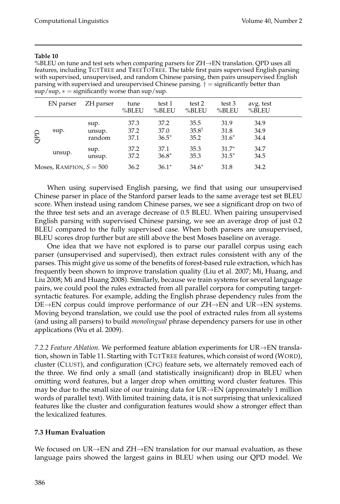%BLEU on tune and test sets when comparing parsers for  $ZH \rightarrow EN$  translation. QPD uses all features, including TGTTREE and TREETOTREE. The table first pairs supervised English parsing with supervised, unsupervised, and random Chinese parsing, then pairs unsupervised English parsing with supervised and unsupervised Chinese parsing.  $\dagger$  = significantly better than  $\sup/\sup$ ,  $* =$  significantly worse than sup/sup.

|            | EN parser                 | ZH parser                | tune<br>%BLEU        | test 1<br>%BLEU         | test 2<br>%BLEU                  | test 3<br>%BLEU         | avg. test<br>%BLEU   |  |
|------------|---------------------------|--------------------------|----------------------|-------------------------|----------------------------------|-------------------------|----------------------|--|
| <b>QPD</b> | sup.                      | sup.<br>unsup.<br>random | 37.3<br>37.2<br>37.1 | 37.2<br>37.0<br>$36.5*$ | 35.5<br>$35.8^{\dagger}$<br>35.2 | 31.9<br>31.8<br>$31.6*$ | 34.9<br>34.9<br>34.4 |  |
|            | unsup.                    | sup.<br>unsup.           | 37.2<br>37.2         | 37.1<br>$36.8*$         | 35.3<br>35.3                     | $31.7*$<br>$31.5*$      | 34.7<br>34.5         |  |
|            | Moses, RAMPION, $S = 500$ |                          | 36.2                 | $36.1*$                 | $34.6*$                          | 31.8                    | 34.2                 |  |

When using supervised English parsing, we find that using our unsupervised Chinese parser in place of the Stanford parser leads to the same average test set BLEU score. When instead using random Chinese parses, we see a significant drop on two of the three test sets and an average decrease of 0.5 BLEU. When pairing unsupervised English parsing with supervised Chinese parsing, we see an average drop of just 0.2 BLEU compared to the fully supervised case. When both parsers are unsupervised, BLEU scores drop further but are still above the best Moses baseline on average.

One idea that we have not explored is to parse our parallel corpus using each parser (unsupervised and supervised), then extract rules consistent with any of the parses. This might give us some of the benefits of forest-based rule extraction, which has frequently been shown to improve translation quality (Liu et al. 2007; Mi, Huang, and Liu 2008; Mi and Huang 2008). Similarly, because we train systems for several language pairs, we could pool the rules extracted from all parallel corpora for computing targetsyntactic features. For example, adding the English phrase dependency rules from the DE→EN corpus could improve performance of our ZH→EN and UR→EN systems. Moving beyond translation, we could use the pool of extracted rules from all systems (and using all parsers) to build *monolingual* phrase dependency parsers for use in other applications (Wu et al. 2009).

*7.2.2 Feature Ablation.* We performed feature ablation experiments for UR→EN translation, shown in Table 11. Starting with TGTTREE features, which consist of word (WORD), cluster (CLUST), and configuration (CFG) feature sets, we alternately removed each of the three. We find only a small (and statistically insignificant) drop in BLEU when omitting word features, but a larger drop when omitting word cluster features. This may be due to the small size of our training data for  $UR \rightarrow EN$  (approximately 1 million words of parallel text). With limited training data, it is not surprising that unlexicalized features like the cluster and configuration features would show a stronger effect than the lexicalized features.

# **7.3 Human Evaluation**

We focused on UR $\rightarrow$ EN and ZH $\rightarrow$ EN translation for our manual evaluation, as these language pairs showed the largest gains in BLEU when using our QPD model. We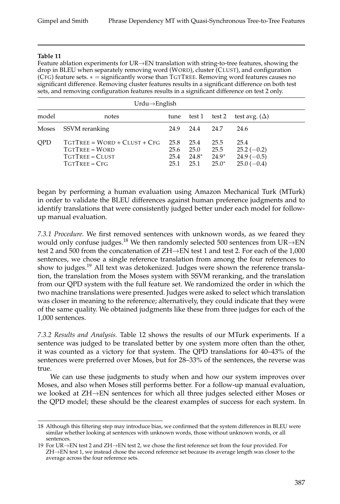Feature ablation experiments for UR→EN translation with string-to-tree features, showing the drop in BLEU when separately removing word (WORD), cluster (CLUST), and configuration (CFG) feature sets. ∗ = significantly worse than TGTTREE. Removing word features causes no significant difference. Removing cluster features results in a significant difference on both test sets, and removing configuration features results in a significant difference on test 2 only.

|            | $Urdu \rightarrow$ English                                                                  |                              |                               |                                    |                                                      |  |  |  |
|------------|---------------------------------------------------------------------------------------------|------------------------------|-------------------------------|------------------------------------|------------------------------------------------------|--|--|--|
| model      | notes                                                                                       | tune                         |                               | test 1 test 2                      | test avg. $(\Delta)$                                 |  |  |  |
| Moses      | SSVM reranking                                                                              | 24.9                         | 24.4                          | 24.7                               | 24.6                                                 |  |  |  |
| <b>OPD</b> | $TGTTREE = WORD + CLUST + CFG$<br><b>TGTTREE - WORD</b><br>TGTTREE - CLUST<br>TGTTREE - CFG | 25.8<br>25.6<br>25.4<br>25.1 | 25.4<br>25.0<br>24.8*<br>25.1 | 25.5<br>25.5<br>$24.9*$<br>$25.0*$ | 25.4<br>$25.2(-0.2)$<br>$24.9(-0.5)$<br>$25.0(-0.4)$ |  |  |  |

began by performing a human evaluation using Amazon Mechanical Turk (MTurk) in order to validate the BLEU differences against human preference judgments and to identify translations that were consistently judged better under each model for followup manual evaluation.

*7.3.1 Procedure.* We first removed sentences with unknown words, as we feared they would only confuse judges.<sup>18</sup> We then randomly selected 500 sentences from UR $\rightarrow$ EN test 2 and 500 from the concatenation of ZH→EN test 1 and test 2. For each of the 1,000 sentences, we chose a single reference translation from among the four references to show to judges.<sup>19</sup> All text was detokenized. Judges were shown the reference translation, the translation from the Moses system with SSVM reranking, and the translation from our QPD system with the full feature set. We randomized the order in which the two machine translations were presented. Judges were asked to select which translation was closer in meaning to the reference; alternatively, they could indicate that they were of the same quality. We obtained judgments like these from three judges for each of the 1,000 sentences.

*7.3.2 Results and Analysis.* Table 12 shows the results of our MTurk experiments. If a sentence was judged to be translated better by one system more often than the other, it was counted as a victory for that system. The QPD translations for 40–43% of the sentences were preferred over Moses, but for 28–33% of the sentences, the reverse was true.

We can use these judgments to study when and how our system improves over Moses, and also when Moses still performs better. For a follow-up manual evaluation, we looked at ZH→EN sentences for which all three judges selected either Moses or the QPD model; these should be the clearest examples of success for each system. In

<sup>18</sup> Although this filtering step may introduce bias, we confirmed that the system differences in BLEU were similar whether looking at sentences with unknown words, those without unknown words, or all sentences.

<sup>19</sup> For UR→EN test 2 and ZH→EN test 2, we chose the first reference set from the four provided. For ZH→EN test 1, we instead chose the second reference set because its average length was closer to the average across the four reference sets.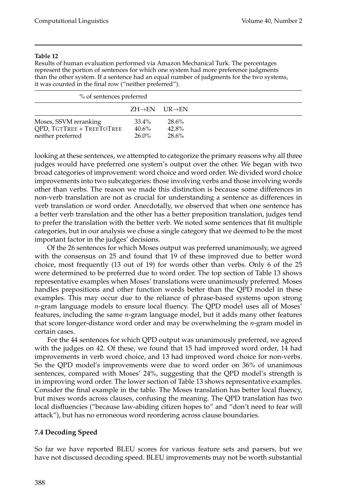Results of human evaluation performed via Amazon Mechanical Turk. The percentages represent the portion of sentences for which one system had more preference judgments than the other system. If a sentence had an equal number of judgments for the two systems, it was counted in the final row ("neither preferred").

| % of sentences preferred                                                |                                         |                         |  |
|-------------------------------------------------------------------------|-----------------------------------------|-------------------------|--|
|                                                                         | $ZH \rightarrow EN$ UR $\rightarrow$ EN |                         |  |
| Moses, SSVM reranking<br>OPD, TGTTREE + TREETOTREE<br>neither preferred | 33.4%<br>40.6%<br>$26.0\%$              | 28.6%<br>42.8%<br>28.6% |  |

looking at these sentences, we attempted to categorize the primary reasons why all three judges would have preferred one system's output over the other. We began with two broad categories of improvement: word choice and word order. We divided word choice improvements into two subcategories: those involving verbs and those involving words other than verbs. The reason we made this distinction is because some differences in non-verb translation are not as crucial for understanding a sentence as differences in verb translation or word order. Anecdotally, we observed that when one sentence has a better verb translation and the other has a better preposition translation, judges tend to prefer the translation with the better verb. We noted some sentences that fit multiple categories, but in our analysis we chose a single category that we deemed to be the most important factor in the judges' decisions.

Of the 26 sentences for which Moses output was preferred unanimously, we agreed with the consensus on 25 and found that 19 of these improved due to better word choice, most frequently (13 out of 19) for words other than verbs. Only 6 of the 25 were determined to be preferred due to word order. The top section of Table 13 shows representative examples when Moses' translations were unanimously preferred. Moses handles prepositions and other function words better than the QPD model in these examples. This may occur due to the reliance of phrase-based systems upon strong *n*-gram language models to ensure local fluency. The QPD model uses all of Moses' features, including the same *n*-gram language model, but it adds many other features that score longer-distance word order and may be overwhelming the *n*-gram model in certain cases.

For the 44 sentences for which QPD output was unanimously preferred, we agreed with the judges on 42. Of these, we found that 15 had improved word order, 14 had improvements in verb word choice, and 13 had improved word choice for non-verbs. So the QPD model's improvements were due to word order on 36% of unanimous sentences, compared with Moses' 24%, suggesting that the QPD model's strength is in improving word order. The lower section of Table 13 shows representative examples. Consider the final example in the table. The Moses translation has better local fluency, but mixes words across clauses, confusing the meaning. The QPD translation has two local disfluencies ("because law-abiding citizen hopes to" and "don't need to fear will attack"), but has no erroneous word reordering across clause boundaries.

# **7.4 Decoding Speed**

So far we have reported BLEU scores for various feature sets and parsers, but we have not discussed decoding speed. BLEU improvements may not be worth substantial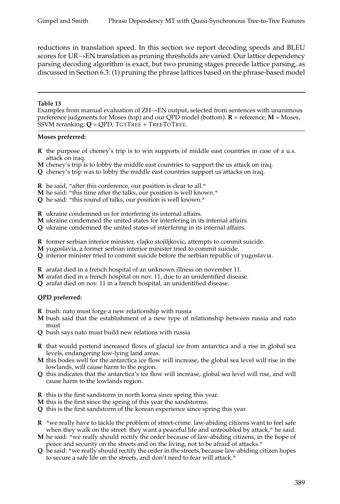reductions in translation speed. In this section we report decoding speeds and BLEU scores for UR→EN translation as pruning thresholds are varied. Our lattice dependency parsing decoding algorithm is exact, but two pruning stages precede lattice parsing, as discussed in Section 6.3: (1) pruning the phrase lattices based on the phrase-based model

#### **Table 13**

Examples from manual evaluation of ZH→EN output, selected from sentences with unanimous preference judgments for Moses (top) and our QPD model (bottom). **R** = reference; **M** = Moses, SSVM reranking; **Q** = QPD, TGTTREE + TREETOTREE.

#### **Moses preferred:**

- **R** the purpose of cheney's trip is to win supports of middle east countries in case of a u.s. attack on iraq.
- **M** cheney's trip is to lobby the middle east countries to support the us attack on iraq.
- **Q** cheney's trip was to lobby the middle east countries support us attacks on iraq.
- **R** he said, "after this conference, our position is clear to all."
- **M** he said: "this time after the talks, our position is well known."
- **Q** he said: "this round of talks, our position is well known."

**R** ukraine condemned us for interfering its internal affairs.

- **M** ukraine condemned the united states for interfering in its internal affairs.
- **Q** ukraine condemned the united states of interfering in its internal affairs.
- **R** former serbian interior minister, vlajko stojiljkovic, attempts to commit suicide.
- **M** yugoslavia, a former serbian interior minister tried to commit suicide.
- **Q** interior minister tried to commit suicide before the serbian republic of yugoslavia.
- **R** arafat died in a french hospital of an unknown illness on november 11.
- **M** arafat died in a french hospital on nov. 11, due to an unidentified disease.
- **Q** arafat died on nov. 11 in a french hospital, an unidentified disease.

### **QPD preferred:**

- **R** bush: nato must forge a new relationship with russia
- **M** bush said that the establishment of a new type of relationship between russia and nato must
- **Q** bush says nato must build new relations with russia
- **R** that would portend increased flows of glacial ice from antarctica and a rise in global sea levels, endangering low-lying land areas.
- **M** this bodes well for the antarctica ice flow will increase, the global sea level will rise in the lowlands, will cause harm to the region.
- **Q** this indicates that the antarctica's ice flow will increase, global sea level will rise, and will cause harm to the lowlands region.
- **R** this is the first sandstorm in north korea since spring this year.
- **M** this is the first since the spring of this year the sandstorms.
- **Q** this is the first sandstorm of the korean experience since spring this year.
- **R** "we really have to tackle the problem of street-crime. law-abiding citizens want to feel safe when they walk on the street. they want a peaceful life and untroubled by attack," he said.
- **M** he said: "we really should rectify the order because of law-abiding citizens, in the hope of peace and security on the streets and on the living, not to be afraid of attacks."
- **Q** he said: "we really should rectify the order in the streets, because law-abiding citizen hopes to secure a safe life on the streets, and don't need to fear will attack."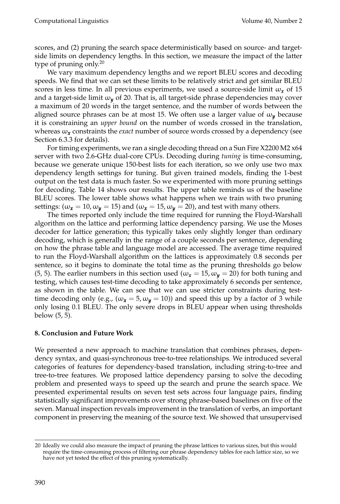scores, and (2) pruning the search space deterministically based on source- and targetside limits on dependency lengths. In this section, we measure the impact of the latter type of pruning only. $20$ 

We vary maximum dependency lengths and we report BLEU scores and decoding speeds. We find that we can set these limits to be relatively strict and get similar BLEU scores in less time. In all previous experiments, we used a source-side limit  $\omega_x$  of 15 and a target-side limit ω*<sup>y</sup>* of 20. That is, all target-side phrase dependencies may cover a maximum of 20 words in the target sentence, and the number of words between the aligned source phrases can be at most 15. We often use a larger value of  $\omega_{\nu}$  because it is constraining an *upper bound* on the number of words crossed in the translation, whereas  $\omega_x$  constraints the *exact* number of source words crossed by a dependency (see Section 6.3.3 for details).

For timing experiments, we ran a single decoding thread on a Sun Fire X2200 M2 x64 server with two 2.6-GHz dual-core CPUs. Decoding during *tuning* is time-consuming, because we generate unique 150-best lists for each iteration, so we only use two max dependency length settings for tuning. But given trained models, finding the 1-best output on the test data is much faster. So we experimented with more pruning settings for decoding. Table 14 shows our results. The upper table reminds us of the baseline BLEU scores. The lower table shows what happens when we train with two pruning settings: ( $\omega_x = 10$ ,  $\omega_y = 15$ ) and ( $\omega_x = 15$ ,  $\omega_y = 20$ ), and test with many others.

The times reported only include the time required for running the Floyd-Warshall algorithm on the lattice and performing lattice dependency parsing. We use the Moses decoder for lattice generation; this typically takes only slightly longer than ordinary decoding, which is generally in the range of a couple seconds per sentence, depending on how the phrase table and language model are accessed. The average time required to run the Floyd-Warshall algorithm on the lattices is approximately 0.8 seconds per sentence, so it begins to dominate the total time as the pruning thresholds go below (5, 5). The earlier numbers in this section used ( $\omega_x = 15$ ,  $\omega_y = 20$ ) for both tuning and testing, which causes test-time decoding to take approximately 6 seconds per sentence, as shown in the table. We can see that we can use stricter constraints during testtime decoding only (e.g.,  $(\omega_x = 5, \omega_y = 10)$ ) and speed this up by a factor of 3 while only losing 0.1 BLEU. The only severe drops in BLEU appear when using thresholds below (5, 5).

# **8. Conclusion and Future Work**

We presented a new approach to machine translation that combines phrases, dependency syntax, and quasi-synchronous tree-to-tree relationships. We introduced several categories of features for dependency-based translation, including string-to-tree and tree-to-tree features. We proposed lattice dependency parsing to solve the decoding problem and presented ways to speed up the search and prune the search space. We presented experimental results on seven test sets across four language pairs, finding statistically significant improvements over strong phrase-based baselines on five of the seven. Manual inspection reveals improvement in the translation of verbs, an important component in preserving the meaning of the source text. We showed that unsupervised

<sup>20</sup> Ideally we could also measure the impact of pruning the phrase lattices to various sizes, but this would require the time-consuming process of filtering our phrase dependency tables for each lattice size, so we have not yet tested the effect of this pruning systematically.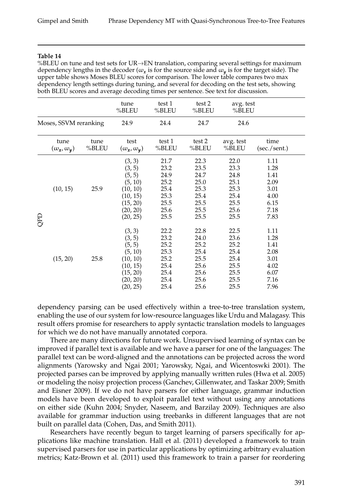%BLEU on tune and test sets for UR→EN translation, comparing several settings for maximum dependency lengths in the decoder ( $\omega_{\pmb{x}}$  is for the source side and  $\omega_{\pmb{y}}$  is for the target side). The upper table shows Moses BLEU scores for comparison. The lower table compares two max dependency length settings during tuning, and several for decoding on the test sets, showing both BLEU scores and average decoding times per sentence. See text for discussion.

|     |                                |               | tune<br>%BLEU                                                                                     | test 1<br>%BLEU                                                      | test 2<br>%BLEU                                                      | avg. test<br>%BLEU                                                   |                                                                      |
|-----|--------------------------------|---------------|---------------------------------------------------------------------------------------------------|----------------------------------------------------------------------|----------------------------------------------------------------------|----------------------------------------------------------------------|----------------------------------------------------------------------|
|     | Moses, SSVM reranking          |               | 24.9                                                                                              | 24.4                                                                 | 24.7                                                                 | 24.6                                                                 |                                                                      |
|     | tune<br>$(\omega_x, \omega_y)$ | tune<br>%BLEU | test<br>$(\omega_x, \omega_y)$                                                                    | test 1<br>%BLEU                                                      | test 2<br>%BLEU                                                      | avg. test<br>%BLEU                                                   | time<br>(sec./sent.)                                                 |
| QPD | (10, 15)                       | 25.9          | (3, 3)<br>(3, 5)<br>(5, 5)<br>(5, 10)<br>(10, 10)<br>(10, 15)<br>(15, 20)<br>(20, 20)<br>(20, 25) | 21.7<br>23.2<br>24.9<br>25.2<br>25.4<br>25.3<br>25.5<br>25.6<br>25.5 | 22.3<br>23.5<br>24.7<br>25.0<br>25.3<br>25.4<br>25.5<br>25.5<br>25.5 | 22.0<br>23.3<br>24.8<br>25.1<br>25.3<br>25.4<br>25.5<br>25.6<br>25.5 | 1.11<br>1.28<br>1.41<br>2.09<br>3.01<br>4.00<br>6.15<br>7.18<br>7.83 |
|     | (15, 20)                       | 25.8          | (3, 3)<br>(3, 5)<br>(5, 5)<br>(5, 10)<br>(10, 10)<br>(10, 15)<br>(15, 20)<br>(20, 20)<br>(20, 25) | 22.2<br>23.2<br>25.2<br>25.3<br>25.2<br>25.4<br>25.4<br>25.4<br>25.4 | 22.8<br>24.0<br>25.2<br>25.4<br>25.5<br>25.6<br>25.6<br>25.6<br>25.6 | 22.5<br>23.6<br>25.2<br>25.4<br>25.4<br>25.5<br>25.5<br>25.5<br>25.5 | 1.11<br>1.28<br>1.41<br>2.08<br>3.01<br>4.02<br>6.07<br>7.16<br>7.96 |

dependency parsing can be used effectively within a tree-to-tree translation system, enabling the use of our system for low-resource languages like Urdu and Malagasy. This result offers promise for researchers to apply syntactic translation models to languages for which we do not have manually annotated corpora.

There are many directions for future work. Unsupervised learning of syntax can be improved if parallel text is available and we have a parser for one of the languages: The parallel text can be word-aligned and the annotations can be projected across the word alignments (Yarowsky and Ngai 2001; Yarowsky, Ngai, and Wicentoswki 2001). The projected parses can be improved by applying manually written rules (Hwa et al. 2005) or modeling the noisy projection process (Ganchev, Gillenwater, and Taskar 2009; Smith and Eisner 2009). If we do not have parsers for either language, grammar induction models have been developed to exploit parallel text without using any annotations on either side (Kuhn 2004; Snyder, Naseem, and Barzilay 2009). Techniques are also available for grammar induction using treebanks in different languages that are not built on parallel data (Cohen, Das, and Smith 2011).

Researchers have recently begun to target learning of parsers specifically for applications like machine translation. Hall et al. (2011) developed a framework to train supervised parsers for use in particular applications by optimizing arbitrary evaluation metrics; Katz-Brown et al. (2011) used this framework to train a parser for reordering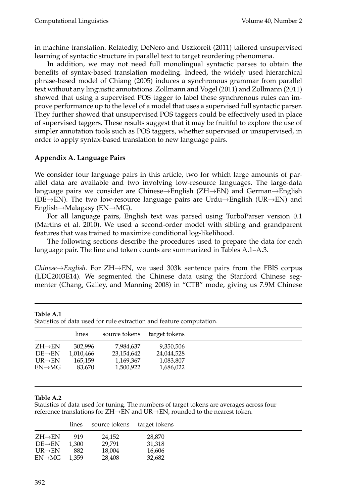in machine translation. Relatedly, DeNero and Uszkoreit (2011) tailored unsupervised learning of syntactic structure in parallel text to target reordering phenomena.

In addition, we may not need full monolingual syntactic parses to obtain the benefits of syntax-based translation modeling. Indeed, the widely used hierarchical phrase-based model of Chiang (2005) induces a synchronous grammar from parallel text without any linguistic annotations. Zollmann and Vogel (2011) and Zollmann (2011) showed that using a supervised POS tagger to label these synchronous rules can improve performance up to the level of a model that uses a supervised full syntactic parser. They further showed that unsupervised POS taggers could be effectively used in place of supervised taggers. These results suggest that it may be fruitful to explore the use of simpler annotation tools such as POS taggers, whether supervised or unsupervised, in order to apply syntax-based translation to new language pairs.

# **Appendix A. Language Pairs**

We consider four language pairs in this article, two for which large amounts of parallel data are available and two involving low-resource languages. The large-data language pairs we consider are Chinese→English (ZH→EN) and German→English ( $DE\rightarrow EN$ ). The two low-resource language pairs are Urdu $\rightarrow$ English (UR $\rightarrow EN$ ) and English→Malagasy (EN→MG).

For all language pairs, English text was parsed using TurboParser version 0.1 (Martins et al. 2010). We used a second-order model with sibling and grandparent features that was trained to maximize conditional log-likelihood.

The following sections describe the procedures used to prepare the data for each language pair. The line and token counts are summarized in Tables A.1–A.3.

*Chinese*→*English.* For ZH→EN, we used 303k sentence pairs from the FBIS corpus (LDC2003E14). We segmented the Chinese data using the Stanford Chinese segmenter (Chang, Galley, and Manning 2008) in "CTB" mode, giving us 7.9M Chinese

|                     | lines     | source tokens | target tokens |
|---------------------|-----------|---------------|---------------|
| $ZH\rightarrow EN$  | 302.996   | 7,984,637     | 9,350,506     |
| $DE\rightarrow EN$  | 1,010,466 | 23,154,642    | 24,044,528    |
| $UR \rightarrow EN$ | 165,159   | 1,169,367     | 1,083,807     |
| $EN\rightarrow MG$  | 83.670    | 1,500.922     | 1,686,022     |
|                     |           |               |               |

**Table A.1** Statistics of data used for rule extraction and feature computation.

#### **Table A.2**

Statistics of data used for tuning. The numbers of target tokens are averages across four reference translations for  $ZH\rightarrow EN$  and  $UR\rightarrow EN$ , rounded to the nearest token.

|                     | lines | source tokens | target tokens |
|---------------------|-------|---------------|---------------|
| $ZH \rightarrow EN$ | 919   | 24.152        | 28,870        |
| $DE\rightarrow EN$  | 1.300 | 29.791        | 31,318        |
| $UR \rightarrow EN$ | 882   | 18,004        | 16,606        |
| $EN\rightarrow MG$  | 1.359 | 28.408        | 32,682        |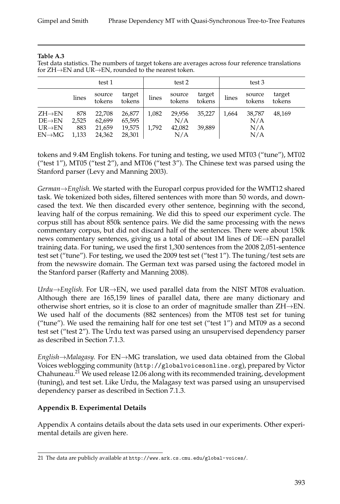### **Table A.3**

Test data statistics. The numbers of target tokens are averages across four reference translations for ZH→EN and UR→EN, rounded to the nearest token.

|                                           | test 1       |                  |                  | test 2 |                  |                  | test 3 |                  |                  |
|-------------------------------------------|--------------|------------------|------------------|--------|------------------|------------------|--------|------------------|------------------|
|                                           | lines        | source<br>tokens | target<br>tokens | lines  | source<br>tokens | target<br>tokens | lines  | source<br>tokens | target<br>tokens |
| $ZH \rightarrow EN$<br>$DE\rightarrow EN$ | 878<br>2,525 | 22,708<br>62,699 | 26,877<br>65,595 | 1,082  | 29,956<br>N/A    | 35,227           | 1,664  | 38,787<br>N/A    | 48.169           |
| $UR \rightarrow EN$<br>$EN\rightarrow MG$ | 883<br>1,133 | 21,659<br>24,362 | 19,575<br>28,301 | 1.792  | 42,082<br>N/A    | 39.889           |        | N/A<br>N/A       |                  |

tokens and 9.4M English tokens. For tuning and testing, we used MT03 ("tune"), MT02 ("test 1"), MT05 ("test 2"), and MT06 ("test 3"). The Chinese text was parsed using the Stanford parser (Levy and Manning 2003).

*German*→*English.* We started with the Europarl corpus provided for the WMT12 shared task. We tokenized both sides, filtered sentences with more than 50 words, and downcased the text. We then discarded every other sentence, beginning with the second, leaving half of the corpus remaining. We did this to speed our experiment cycle. The corpus still has about 850k sentence pairs. We did the same processing with the news commentary corpus, but did not discard half of the sentences. There were about 150k news commentary sentences, giving us a total of about 1M lines of DE→EN parallel training data. For tuning, we used the first 1,300 sentences from the 2008 2,051-sentence test set ("tune"). For testing, we used the 2009 test set ("test 1"). The tuning/test sets are from the newswire domain. The German text was parsed using the factored model in the Stanford parser (Rafferty and Manning 2008).

*Urdu*→*English.* For UR→EN, we used parallel data from the NIST MT08 evaluation. Although there are 165,159 lines of parallel data, there are many dictionary and otherwise short entries, so it is close to an order of magnitude smaller than ZH→EN. We used half of the documents (882 sentences) from the MT08 test set for tuning ("tune"). We used the remaining half for one test set ("test  $1"$ ) and MT09 as a second test set ("test 2"). The Urdu text was parsed using an unsupervised dependency parser as described in Section 7.1.3.

*English*→*Malagasy.* For EN→MG translation, we used data obtained from the Global Voices weblogging community (http://globalvoicesonline.org), prepared by Victor Chahuneau.<sup>21</sup> We used release 12.06 along with its recommended training, development (tuning), and test set. Like Urdu, the Malagasy text was parsed using an unsupervised dependency parser as described in Section 7.1.3.

# **Appendix B. Experimental Details**

Appendix A contains details about the data sets used in our experiments. Other experimental details are given here.

<sup>21</sup> The data are publicly available at http://www.ark.cs.cmu.edu/global-voices/.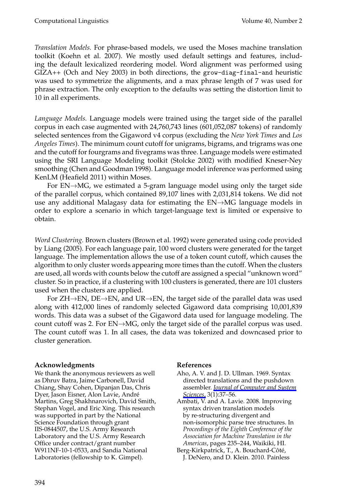*Translation Models.* For phrase-based models, we used the Moses machine translation toolkit (Koehn et al. 2007). We mostly used default settings and features, including the default lexicalized reordering model. Word alignment was performed using GIZA++ (Och and Ney 2003) in both directions, the grow-diag-final-and heuristic was used to symmetrize the alignments, and a max phrase length of 7 was used for phrase extraction. The only exception to the defaults was setting the distortion limit to 10 in all experiments.

*Language Models.* Language models were trained using the target side of the parallel corpus in each case augmented with 24,760,743 lines (601,052,087 tokens) of randomly selected sentences from the Gigaword v4 corpus (excluding the *New York Times* and *Los Angeles Times*). The minimum count cutoff for unigrams, bigrams, and trigrams was one and the cutoff for fourgrams and fivegrams was three. Language models were estimated using the SRI Language Modeling toolkit (Stolcke 2002) with modified Kneser-Ney smoothing (Chen and Goodman 1998). Language model inference was performed using KenLM (Heafield 2011) within Moses.

For  $EN \rightarrow MG$ , we estimated a 5-gram language model using only the target side of the parallel corpus, which contained 89,107 lines with 2,031,814 tokens. We did not use any additional Malagasy data for estimating the EN→MG language models in order to explore a scenario in which target-language text is limited or expensive to obtain.

*Word Clustering.* Brown clusters (Brown et al. 1992) were generated using code provided by Liang (2005). For each language pair, 100 word clusters were generated for the target language. The implementation allows the use of a token count cutoff, which causes the algorithm to only cluster words appearing more times than the cutoff. When the clusters are used, all words with counts below the cutoff are assigned a special "unknown word" cluster. So in practice, if a clustering with 100 clusters is generated, there are 101 clusters used when the clusters are applied.

For ZH→EN, DE→EN, and UR→EN, the target side of the parallel data was used along with 412,000 lines of randomly selected Gigaword data comprising 10,001,839 words. This data was a subset of the Gigaword data used for language modeling. The count cutoff was 2. For EN→MG, only the target side of the parallel corpus was used. The count cutoff was 1. In all cases, the data was tokenized and downcased prior to cluster generation.

# **Acknowledgments**

We thank the anonymous reviewers as well as Dhruv Batra, Jaime Carbonell, David Chiang, Shay Cohen, Dipanjan Das, Chris Dyer, Jason Eisner, Alon Lavie, Andre´ Martins, Greg Shakhnarovich, David Smith, Stephan Vogel, and Eric Xing. This research was supported in part by the National Science Foundation through grant IIS-0844507, the U.S. Army Research Laboratory and the U.S. Army Research Office under contract/grant number W911NF-10-1-0533, and Sandia National Laboratories (fellowship to K. Gimpel).

### **References**

- Aho, A. V. and J. D. Ullman. 1969. Syntax directed translations and the pushdown assembler. *[Journal of Computer and System](http://www.mitpressjournals.org/action/showLinks?crossref=10.1016%2FS0022-0000%2869%2980006-1) [Sciences](http://www.mitpressjournals.org/action/showLinks?crossref=10.1016%2FS0022-0000%2869%2980006-1)*, 3(1):37–56.
- Ambati, V. and A. Lavie. 2008. Improving syntax driven translation models by re-structuring divergent and non-isomorphic parse tree structures. In *Proceedings of the Eighth Conference of the Association for Machine Translation in the Americas*, pages 235–244, Waikiki, HI.
- Berg-Kirkpatrick, T., A. Bouchard-Côté, J. DeNero, and D. Klein. 2010. Painless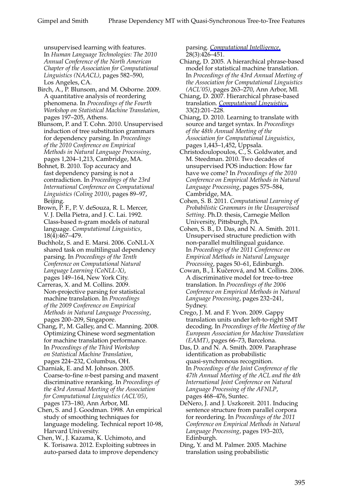unsupervised learning with features. In *Human Language Technologies: The 2010 Annual Conference of the North American Chapter of the Association for Computational Linguistics (NAACL)*, pages 582–590, Los Angeles, CA.

- Birch, A., P. Blunsom, and M. Osborne. 2009. A quantitative analysis of reordering phenomena. In *Proceedings of the Fourth Workshop on Statistical Machine Translation*, pages 197–205, Athens.
- Blunsom, P. and T. Cohn. 2010. Unsupervised induction of tree substitution grammars for dependency parsing. In *Proceedings of the 2010 Conference on Empirical Methods in Natural Language Processing*, pages 1,204–1,213, Cambridge, MA.
- Bohnet, B. 2010. Top accuracy and fast dependency parsing is not a contradiction. In *Proceedings of the 23rd International Conference on Computational Linguistics (Coling 2010)*, pages 89–97, Beijing.
- Brown, P. F., P. V. deSouza, R. L. Mercer, V. J. Della Pietra, and J. C. Lai. 1992. Class-based n-gram models of natural language. *Computational Linguistics*, 18(4):467–479.
- Buchholz, S. and E. Marsi. 2006. CoNLL-X shared task on multilingual dependency parsing. In *Proceedings of the Tenth Conference on Computational Natural Language Learning (CoNLL-X)*, pages 149–164, New York City.
- Carreras, X. and M. Collins. 2009. Non-projective parsing for statistical machine translation. In *Proceedings of the 2009 Conference on Empirical Methods in Natural Language Processing*, pages 200–209, Singapore.
- Chang, P., M. Galley, and C. Manning. 2008. Optimizing Chinese word segmentation for machine translation performance. In *Proceedings of the Third Workshop on Statistical Machine Translation*, pages 224–232, Columbus, OH.
- Charniak, E. and M. Johnson. 2005. Coarse-to-fine *n*-best parsing and maxent discriminative reranking. In *Proceedings of the 43rd Annual Meeting of the Association for Computational Linguistics (ACL'05)*, pages 173–180, Ann Arbor, MI.
- Chen, S. and J. Goodman. 1998. An empirical study of smoothing techniques for language modeling. Technical report 10-98, Harvard University.
- Chen, W., J. Kazama, K. Uchimoto, and K. Torisawa. 2012. Exploiting subtrees in auto-parsed data to improve dependency

parsing. *[Computational Intelligence](http://www.mitpressjournals.org/action/showLinks?crossref=10.1111%2Fj.1467-8640.2012.00451.x)*, 28(3):426–451.

- Chiang, D. 2005. A hierarchical phrase-based model for statistical machine translation. In *Proceedings of the 43rd Annual Meeting of the Association for Computational Linguistics (ACL'05)*, pages 263–270, Ann Arbor, MI.
- Chiang, D. 2007. Hierarchical phrase-based translation. *[Computational Linguistics](http://www.mitpressjournals.org/action/showLinks?system=10.1162%2Fcoli.2007.33.2.201)*, 33(2):201–228.
- Chiang, D. 2010. Learning to translate with source and target syntax. In *Proceedings of the 48th Annual Meeting of the Association for Computational Linguistics*, pages 1,443–1,452, Uppsala.
- Christodoulopoulos, C., S. Goldwater, and M. Steedman. 2010. Two decades of unsupervised POS induction: How far have we come? In *Proceedings of the 2010 Conference on Empirical Methods in Natural Language Processing*, pages 575–584, Cambridge, MA.
- Cohen, S. B. 2011. *Computational Learning of Probabilistic Grammars in the Unsupervised Setting*. Ph.D. thesis, Carnegie Mellon University, Pittsburgh, PA.
- Cohen, S. B., D. Das, and N. A. Smith. 2011. Unsupervised structure prediction with non-parallel multilingual guidance. In *Proceedings of the 2011 Conference on Empirical Methods in Natural Language Processing*, pages 50–61, Edinburgh.
- Cowan, B., I. Kučerová, and M. Collins. 2006. A discriminative model for tree-to-tree translation. In *Proceedings of the 2006 Conference on Empirical Methods in Natural Language Processing*, pages 232–241, Sydney.
- Crego, J. M. and F. Yvon. 2009. Gappy translation units under left-to-right SMT decoding. In *Proceedings of the Meeting of the European Association for Machine Translation (EAMT)*, pages 66–73, Barcelona.
- Das, D. and N. A. Smith. 2009. Paraphrase identification as probabilistic quasi-synchronous recognition. In *Proceedings of the Joint Conference of the 47th Annual Meeting of the ACL and the 4th International Joint Conference on Natural Language Processing of the AFNLP*, pages 468–476, Suntec.
- DeNero, J. and J. Uszkoreit. 2011. Inducing sentence structure from parallel corpora for reordering. In *Proceedings of the 2011 Conference on Empirical Methods in Natural Language Processing*, pages 193–203, Edinburgh.
- Ding, Y. and M. Palmer. 2005. Machine translation using probabilistic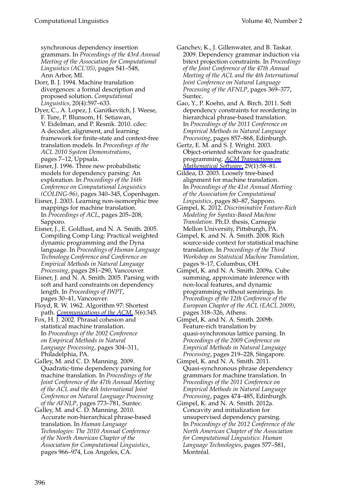synchronous dependency insertion grammars. In *Proceedings of the 43rd Annual Meeting of the Association for Computational Linguistics (ACL'05)*, pages 541–548, Ann Arbor, MI.

Dorr, B. J. 1994. Machine translation divergences: a formal description and proposed solution. *Computational Linguistics*, 20(4):597–633.

Dyer, C., A. Lopez, J. Ganitkevitch, J. Weese, F. Ture, P. Blunsom, H. Setiawan, V. Eidelman, and P. Resnik. 2010. cdec: A decoder, alignment, and learning framework for finite-state and context-free translation models. In *Proceedings of the ACL 2010 System Demonstrations*, pages 7–12, Uppsala.

Eisner, J. 1996. Three new probabilistic models for dependency parsing: An exploration. In *Proceedings of the 16th Conference on Computational Linguistics (COLING-96)*, pages 340–345, Copenhagen.

Eisner, J. 2003. Learning non-isomorphic tree mappings for machine translation. In *Proceedings of ACL*, pages 205–208, Sapporo.

Eisner, J., E. Goldlust, and N. A. Smith. 2005. Compiling Comp Ling: Practical weighted dynamic programming and the Dyna language. In *Proceedings of Human Language Technology Conference and Conference on Empirical Methods in Natural Language Processing*, pages 281–290, Vancouver.

Eisner, J. and N. A. Smith. 2005. Parsing with soft and hard constraints on dependency length. In *Proceedings of IWPT*, pages 30–41, Vancouver.

Floyd, R. W. 1962. Algorithm 97: Shortest path. *[Communications of the ACM](http://www.mitpressjournals.org/action/showLinks?crossref=10.1145%2F367766.368168)*, 5(6):345.

Fox, H. J. 2002. Phrasal cohesion and statistical machine translation. In *Proceedings of the 2002 Conference on Empirical Methods in Natural Language Processing*, pages 304–311, Philadelphia, PA.

Galley, M. and C. D. Manning. 2009. Quadratic-time dependency parsing for machine translation. In *Proceedings of the Joint Conference of the 47th Annual Meeting of the ACL and the 4th International Joint Conference on Natural Language Processing of the AFNLP*, pages 773–781, Suntec.

Galley, M. and C. D. Manning. 2010. Accurate non-hierarchical phrase-based translation. In *Human Language Technologies: The 2010 Annual Conference of the North American Chapter of the Association for Computational Linguistics*, pages 966–974, Los Angeles, CA.

Ganchev, K., J. Gillenwater, and B. Taskar. 2009. Dependency grammar induction via bitext projection constraints. In *Proceedings of the Joint Conference of the 47th Annual Meeting of the ACL and the 4th International Joint Conference on Natural Language Processing of the AFNLP*, pages 369–377, Suntec.

Gao, Y., P. Koehn, and A. Birch. 2011. Soft dependency constraints for reordering in hierarchical phrase-based translation. In *Proceedings of the 2011 Conference on Empirical Methods in Natural Language Processing*, pages 857–868, Edinburgh.

Gertz, E. M. and S. J. Wright. 2003. Object-oriented software for quadratic programming. *[ACM Transactions on](http://www.mitpressjournals.org/action/showLinks?crossref=10.1145%2F641876.641880) [Mathematical Software](http://www.mitpressjournals.org/action/showLinks?crossref=10.1145%2F641876.641880)*, 29(1):58–81.

Gildea, D. 2003. Loosely tree-based alignment for machine translation. In *Proceedings of the 41st Annual Meeting of the Association for Computational Linguistics*, pages 80–87, Sapporo.

Gimpel, K. 2012. *Discriminative Feature-Rich Modeling for Syntax-Based Machine Translation*. Ph.D. thesis, Carnegie Mellon University, Pittsburgh, PA.

Gimpel, K. and N. A. Smith. 2008. Rich source-side context for statistical machine translation. In *Proceedings of the Third Workshop on Statistical Machine Translation*, pages 9–17, Columbus, OH.

Gimpel, K. and N. A. Smith. 2009a. Cube summing, approximate inference with non-local features, and dynamic programming without semirings. In *Proceedings of the 12th Conference of the European Chapter of the ACL (EACL 2009)*, pages 318–326, Athens.

Gimpel, K. and N. A. Smith. 2009b. Feature-rich translation by quasi-synchronous lattice parsing. In *Proceedings of the 2009 Conference on Empirical Methods in Natural Language Processing*, pages 219–228, Singapore.

Gimpel, K. and N. A. Smith. 2011. Quasi-synchronous phrase dependency grammars for machine translation. In *Proceedings of the 2011 Conference on Empirical Methods in Natural Language Processing*, pages 474–485, Edinburgh.

Gimpel, K. and N. A. Smith. 2012a. Concavity and initialization for unsupervised dependency parsing. In *Proceedings of the 2012 Conference of the North American Chapter of the Association for Computational Linguistics: Human Language Technologies*, pages 577–581, Montréal.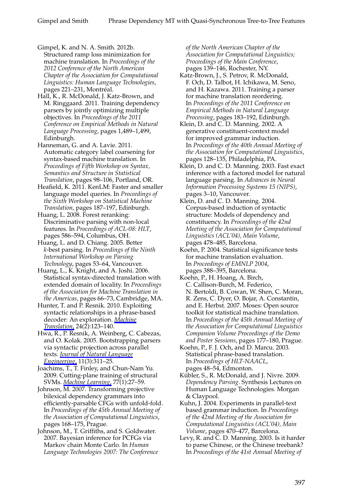Gimpel, K. and N. A. Smith. 2012b. Structured ramp loss minimization for machine translation. In *Proceedings of the 2012 Conference of the North American Chapter of the Association for Computational Linguistics: Human Language Technologies*, pages 221-231, Montréal.

Hall, K., R. McDonald, J. Katz-Brown, and M. Ringgaard. 2011. Training dependency parsers by jointly optimizing multiple objectives. In *Proceedings of the 2011 Conference on Empirical Methods in Natural Language Processing*, pages 1,489–1,499, Edinburgh.

Hanneman, G. and A. Lavie. 2011. Automatic category label coarsening for syntax-based machine translation. In *Proceedings of Fifth Workshop on Syntax, Semantics and Structure in Statistical Translation*, pages 98–106, Portland, OR.

Heafield, K. 2011. KenLM: Faster and smaller language model queries. In *Proceedings of the Sixth Workshop on Statistical Machine Translation*, pages 187–197, Edinburgh.

Huang, L. 2008. Forest reranking: Discriminative parsing with non-local features. In *Proceedings of ACL-08: HLT*, pages 586–594, Columbus, OH.

Huang, L. and D. Chiang. 2005. Better *k*-best parsing. In *Proceedings of the Ninth International Workshop on Parsing Technology*, pages 53–64, Vancouver.

Huang, L., K. Knight, and A. Joshi. 2006. Statistical syntax-directed translation with extended domain of locality. In *Proceedings of the Association for Machine Translation in the Americas*, pages 66–73, Cambridge, MA.

Hunter, T. and P. Resnik. 2010. Exploiting syntactic relationships in a phrase-based decoder: An exploration. *[Machine](http://www.mitpressjournals.org/action/showLinks?crossref=10.1007%2Fs10590-010-9074-5) [Translation](http://www.mitpressjournals.org/action/showLinks?crossref=10.1007%2Fs10590-010-9074-5)*, 24(2):123–140.

Hwa, R., P. Resnik, A. Weinberg, C. Cabezas, and O. Kolak. 2005. Bootstrapping parsers via syntactic projection across parallel texts. *[Journal of Natural Language](http://www.mitpressjournals.org/action/showLinks?crossref=10.1017%2FS1351324905003840) [Engineering](http://www.mitpressjournals.org/action/showLinks?crossref=10.1017%2FS1351324905003840)*, 11(3):311–25.

Joachims, T., T. Finley, and Chun-Nam Yu. 2009. Cutting-plane training of structural SVMs. *[Machine Learning](http://www.mitpressjournals.org/action/showLinks?crossref=10.1007%2Fs10994-009-5108-8)*, 77(1):27–59.

Johnson, M. 2007. Transforming projective bilexical dependency grammars into efficiently-parsable CFGs with unfold-fold. In *Proceedings of the 45th Annual Meeting of the Association of Computational Linguistics*, pages 168–175, Prague.

Johnson, M., T. Griffiths, and S. Goldwater. 2007. Bayesian inference for PCFGs via Markov chain Monte Carlo. In *Human Language Technologies 2007: The Conference* *of the North American Chapter of the Association for Computational Linguistics; Proceedings of the Main Conference*, pages 139–146, Rochester, NY.

Katz-Brown, J., S. Petrov, R. McDonald, F. Och, D. Talbot, H. Ichikawa, M. Seno, and H. Kazawa. 2011. Training a parser for machine translation reordering. In *Proceedings of the 2011 Conference on Empirical Methods in Natural Language Processing*, pages 183–192, Edinburgh.

Klein, D. and C. D. Manning. 2002. A generative constituent-context model for improved grammar induction. In *Proceedings of the 40th Annual Meeting of the Association for Computational Linguistics*, pages 128–135, Philadelphia, PA.

Klein, D. and C. D. Manning. 2003. Fast exact inference with a factored model for natural language parsing. In *Advances in Neural Information Processing Systems 15 (NIPS)*, pages 3–10, Vancouver.

Klein, D. and C. D. Manning. 2004. Corpus-based induction of syntactic structure: Models of dependency and constituency. In *Proceedings of the 42nd Meeting of the Association for Computational Linguistics (ACL'04), Main Volume*, pages 478–485, Barcelona.

Koehn, P. 2004. Statistical significance tests for machine translation evaluation. In *Proceedings of EMNLP 2004*, pages 388–395, Barcelona.

Koehn, P., H. Hoang, A. Birch, C. Callison-Burch, M. Federico, N. Bertoldi, B. Cowan, W. Shen, C. Moran, R. Zens, C. Dyer, O. Bojar, A. Constantin, and E. Herbst. 2007. Moses: Open source toolkit for statistical machine translation. In *Proceedings of the 45th Annual Meeting of the Association for Computational Linguistics Companion Volume Proceedings of the Demo and Poster Sessions*, pages 177–180, Prague.

Koehn, P., F. J. Och, and D. Marcu. 2003. Statistical phrase-based translation. In *Proceedings of HLT-NAACL*, pages 48–54, Edmonton.

Kübler, S., R. McDonald, and J. Nivre. 2009. *Dependency Parsing*. Synthesis Lectures on Human Language Technologies. Morgan & Claypool.

Kuhn, J. 2004. Experiments in parallel-text based grammar induction. In *Proceedings of the 42nd Meeting of the Association for Computational Linguistics (ACL'04), Main Volume*, pages 470–477, Barcelona.

Levy, R. and C. D. Manning. 2003. Is it harder to parse Chinese, or the Chinese treebank? In *Proceedings of the 41st Annual Meeting of*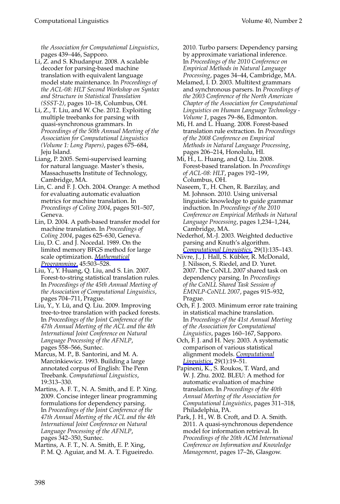*the Association for Computational Linguistics*, pages 439–446, Sapporo.

- Li, Z. and S. Khudanpur. 2008. A scalable decoder for parsing-based machine translation with equivalent language model state maintenance. In *Proceedings of the ACL-08: HLT Second Workshop on Syntax and Structure in Statistical Translation (SSST-2)*, pages 10–18, Columbus, OH.
- Li, Z., T. Liu, and W. Che. 2012. Exploiting multiple treebanks for parsing with quasi-synchronous grammars. In *Proceedings of the 50th Annual Meeting of the Association for Computational Linguistics (Volume 1: Long Papers)*, pages 675–684, Jeju Island.
- Liang, P. 2005. Semi-supervised learning for natural language. Master's thesis, Massachusetts Institute of Technology, Cambridge, MA.
- Lin, C. and F. J. Och. 2004. Orange: A method for evaluating automatic evaluation metrics for machine translation. In *Proceedings of Coling 2004*, pages 501–507, Geneva.
- Lin, D. 2004. A path-based transfer model for machine translation. In *Proceedings of Coling 2004*, pages 625–630, Geneva.
- Liu, D. C. and J. Nocedal. 1989. On the limited memory BFGS method for large scale optimization. *[Mathematical](http://www.mitpressjournals.org/action/showLinks?crossref=10.1007%2FBF01589116) [Programming](http://www.mitpressjournals.org/action/showLinks?crossref=10.1007%2FBF01589116)*, 45:503–528.
- Liu, Y., Y. Huang, Q. Liu, and S. Lin. 2007. Forest-to-string statistical translation rules. In *Proceedings of the 45th Annual Meeting of the Association of Computational Linguistics*, pages 704–711, Prague.
- Liu, Y., Y. Lü, and Q. Liu. 2009. Improving tree-to-tree translation with packed forests. In *Proceedings of the Joint Conference of the 47th Annual Meeting of the ACL and the 4th International Joint Conference on Natural Language Processing of the AFNLP*, pages 558–566, Suntec.
- Marcus, M. P., B. Santorini, and M. A. Marcinkiewicz. 1993. Building a large annotated corpus of English: The Penn Treebank. *Computational Linguistics*, 19:313–330.
- Martins, A. F. T., N. A. Smith, and E. P. Xing. 2009. Concise integer linear programming formulations for dependency parsing. In *Proceedings of the Joint Conference of the 47th Annual Meeting of the ACL and the 4th International Joint Conference on Natural Language Processing of the AFNLP*, pages 342–350, Suntec.
- Martins, A. F. T., N. A. Smith, E. P. Xing, P. M. Q. Aguiar, and M. A. T. Figueiredo.

2010. Turbo parsers: Dependency parsing by approximate variational inference. In *Proceedings of the 2010 Conference on Empirical Methods in Natural Language Processing*, pages 34–44, Cambridge, MA.

- Melamed, I. D. 2003. Multitext grammars and synchronous parsers. In *Proceedings of the 2003 Conference of the North American Chapter of the Association for Computational Linguistics on Human Language Technology - Volume 1*, pages 79–86, Edmonton.
- Mi, H. and L. Huang. 2008. Forest-based translation rule extraction. In *Proceedings of the 2008 Conference on Empirical Methods in Natural Language Processing*, pages 206–214, Honolulu, HI.
- Mi, H., L. Huang, and Q. Liu. 2008. Forest-based translation. In *Proceedings of ACL-08: HLT*, pages 192–199, Columbus, OH.
- Naseem, T., H. Chen, R. Barzilay, and M. Johnson. 2010. Using universal linguistic knowledge to guide grammar induction. In *Proceedings of the 2010 Conference on Empirical Methods in Natural Language Processing*, pages 1,234–1,244, Cambridge, MA.
- Nederhof, M.-J. 2003. Weighted deductive parsing and Knuth's algorithm. *[Computational Linguistics](http://www.mitpressjournals.org/action/showLinks?system=10.1162%2F089120103321337467)*, 29(1):135–143.
- Nivre, J., J. Hall, S. Kübler, R. McDonald, J. Nilsson, S. Riedel, and D. Yuret. 2007. The CoNLL 2007 shared task on dependency parsing. In *Proceedings of the CoNLL Shared Task Session of EMNLP-CoNLL 2007*, pages 915–932, Prague.
- Och, F. J. 2003. Minimum error rate training in statistical machine translation. In *Proceedings of the 41st Annual Meeting of the Association for Computational Linguistics*, pages 160–167, Sapporo.
- Och, F. J. and H. Ney. 2003. A systematic comparison of various statistical alignment models. *[Computational](http://www.mitpressjournals.org/action/showLinks?system=10.1162%2F089120103321337421) [Linguistics](http://www.mitpressjournals.org/action/showLinks?system=10.1162%2F089120103321337421)*, 29(1):19–51.
- Papineni, K., S. Roukos, T. Ward, and W. J. Zhu. 2002. BLEU: A method for automatic evaluation of machine translation. In *Proceedings of the 40th Annual Meeting of the Association for Computational Linguistics*, pages 311–318, Philadelphia, PA.
- Park, J. H., W. B. Croft, and D. A. Smith. 2011. A quasi-synchronous dependence model for information retrieval. In *Proceedings of the 20th ACM International Conference on Information and Knowledge Management*, pages 17–26, Glasgow.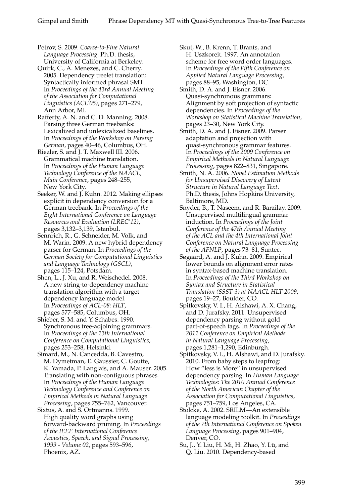Petrov, S. 2009. *Coarse-to-Fine Natural Language Processing*. Ph.D. thesis, University of California at Berkeley.

Quirk, C., A. Menezes, and C. Cherry. 2005. Dependency treelet translation: Syntactically informed phrasal SMT. In *Proceedings of the 43rd Annual Meeting of the Association for Computational Linguistics (ACL'05)*, pages 271–279, Ann Arbor, MI.

Rafferty, A. N. and C. D. Manning. 2008. Parsing three German treebanks: Lexicalized and unlexicalized baselines. In *Proceedings of the Workshop on Parsing German*, pages 40–46, Columbus, OH.

Riezler, S. and J. T. Maxwell III. 2006. Grammatical machine translation. In *Proceedings of the Human Language Technology Conference of the NAACL, Main Conference*, pages 248–255, New York City.

Seeker, W. and J. Kuhn. 2012. Making ellipses explicit in dependency conversion for a German treebank. In *Proceedings of the Eight International Conference on Language Resources and Evaluation (LREC'12)*, pages 3,132–3,139, Istanbul.

Sennrich, R., G. Schneider, M. Volk, and M. Warin. 2009. A new hybrid dependency parser for German. In *Proceedings of the German Society for Computational Linguistics and Language Technology (GSCL)*, pages 115–124, Potsdam.

Shen, L., J. Xu, and R. Weischedel. 2008. A new string-to-dependency machine translation algorithm with a target dependency language model. In *Proceedings of ACL-08: HLT*, pages 577–585, Columbus, OH.

Shieber, S. M. and Y. Schabes. 1990. Synchronous tree-adjoining grammars. In *Proceedings of the 13th International Conference on Computational Linguistics*, pages 253–258, Helsinki.

Simard, M., N. Cancedda, B. Cavestro, M. Dymetman, E. Gaussier, C. Goutte, K. Yamada, P. Langlais, and A. Mauser. 2005. Translating with non-contiguous phrases. In *Proceedings of the Human Language Technology Conference and Conference on Empirical Methods in Natural Language Processing*, pages 755–762, Vancouver.

Sixtus, A. and S. Ortmanns. 1999. High quality word graphs using forward-backward pruning. In *Proceedings of the IEEE International Conference Acoustics, Speech, and Signal Processing, 1999 - Volume 02*, pages 593–596, Phoenix, AZ.

Skut, W., B. Krenn, T. Brants, and H. Uszkoreit. 1997. An annotation scheme for free word order languages. In *Proceedings of the Fifth Conference on Applied Natural Language Processing*, pages 88–95, Washington, DC.

Smith, D. A. and J. Eisner. 2006. Quasi-synchronous grammars: Alignment by soft projection of syntactic dependencies. In *Proceedings of the Workshop on Statistical Machine Translation*, pages 23–30, New York City.

Smith, D. A. and J. Eisner. 2009. Parser adaptation and projection with quasi-synchronous grammar features. In *Proceedings of the 2009 Conference on Empirical Methods in Natural Language Processing*, pages 822–831, Singapore.

Smith, N. A. 2006. *Novel Estimation Methods for Unsupervised Discovery of Latent Structure in Natural Language Text*. Ph.D. thesis, Johns Hopkins University, Baltimore, MD.

Snyder, B., T. Naseem, and R. Barzilay. 2009. Unsupervised multilingual grammar induction. In *Proceedings of the Joint Conference of the 47th Annual Meeting of the ACL and the 4th International Joint Conference on Natural Language Processing of the AFNLP*, pages 73–81, Suntec.

Søgaard, A. and J. Kuhn. 2009. Empirical lower bounds on alignment error rates in syntax-based machine translation. In *Proceedings of the Third Workshop on Syntax and Structure in Statistical Translation (SSST-3) at NAACL HLT 2009*, pages 19–27, Boulder, CO.

Spitkovsky, V. I., H. Alshawi, A. X. Chang, and D. Jurafsky. 2011. Unsupervised dependency parsing without gold part-of-speech tags. In *Proceedings of the 2011 Conference on Empirical Methods in Natural Language Processing*, pages 1,281–1,290, Edinburgh.

Spitkovsky, V. I., H. Alshawi, and D. Jurafsky. 2010. From baby steps to leapfrog: How "less is More" in unsupervised dependency parsing. In *Human Language Technologies: The 2010 Annual Conference of the North American Chapter of the Association for Computational Linguistics*, pages 751–759, Los Angeles, CA.

Stolcke, A. 2002. SRILM—An extensible language modeling toolkit. In *Proceedings of the 7th International Conference on Spoken Language Processing*, pages 901–904, Denver, CO.

Su, J., Y. Liu, H. Mi, H. Zhao, Y. Lü, and Q. Liu. 2010. Dependency-based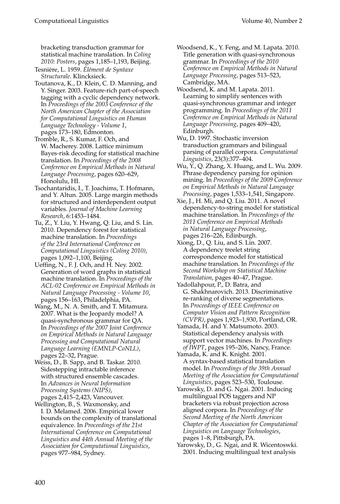bracketing transduction grammar for statistical machine translation. In *Coling 2010: Posters*, pages 1,185–1,193, Beijing.

Tesniere, L. 1959. ` *El´ement de Syntaxe ´ Structurale*. Klincksieck.

Toutanova, K., D. Klein, C. D. Manning, and Y. Singer. 2003. Feature-rich part-of-speech tagging with a cyclic dependency network. In *Proceedings of the 2003 Conference of the North American Chapter of the Association for Computational Linguistics on Human Language Technology - Volume 1*, pages 173–180, Edmonton.

Tromble, R., S. Kumar, F. Och, and W. Macherey. 2008. Lattice minimum Bayes-risk decoding for statistical machine translation. In *Proceedings of the 2008 Conference on Empirical Methods in Natural Language Processing*, pages 620–629, Honolulu, HI.

Tsochantaridis, I., T. Joachims, T. Hofmann, and Y. Altun. 2005. Large margin methods for structured and interdependent output variables. *Journal of Machine Learning Research*, 6:1453–1484.

Tu, Z., Y. Liu, Y. Hwang, Q. Liu, and S. Lin. 2010. Dependency forest for statistical machine translation. In *Proceedings of the 23rd International Conference on Computational Linguistics (Coling 2010)*, pages 1,092–1,100, Beijing.

Ueffing, N., F. J. Och, and H. Ney. 2002. Generation of word graphs in statistical machine translation. In *Proceedings of the ACL-02 Conference on Empirical Methods in Natural Language Processing - Volume 10*, pages 156–163, Philadelphia, PA.

Wang, M., N. A. Smith, and T. Mitamura. 2007. What is the Jeopardy model? A quasi-synchronous grammar for QA. In *Proceedings of the 2007 Joint Conference on Empirical Methods in Natural Language Processing and Computational Natural Language Learning (EMNLP-CoNLL)*, pages 22–32, Prague.

Weiss, D., B. Sapp, and B. Taskar. 2010. Sidestepping intractable inference with structured ensemble cascades. In *Advances in Neural Information Processing Systems (NIPS)*,

pages 2,415–2,423, Vancouver. Wellington, B., S. Waxmonsky, and I. D. Melamed. 2006. Empirical lower bounds on the complexity of translational equivalence. In *Proceedings of the 21st International Conference on Computational Linguistics and 44th Annual Meeting of the Association for Computational Linguistics*, pages 977–984, Sydney.

Woodsend, K., Y. Feng, and M. Lapata. 2010. Title generation with quasi-synchronous grammar. In *Proceedings of the 2010 Conference on Empirical Methods in Natural Language Processing*, pages 513–523, Cambridge, MA.

Woodsend, K. and M. Lapata. 2011. Learning to simplify sentences with quasi-synchronous grammar and integer programming. In *Proceedings of the 2011 Conference on Empirical Methods in Natural Language Processing*, pages 409–420, Edinburgh.

Wu, D. 1997. Stochastic inversion transduction grammars and bilingual parsing of parallel corpora. *Computational Linguistics*, 23(3):377–404.

Wu, Y., Q. Zhang, X. Huang, and L. Wu. 2009. Phrase dependency parsing for opinion mining. In *Proceedings of the 2009 Conference on Empirical Methods in Natural Language Processing*, pages 1,533–1,541, Singapore.

Xie, J., H. Mi, and Q. Liu. 2011. A novel dependency-to-string model for statistical machine translation. In *Proceedings of the 2011 Conference on Empirical Methods in Natural Language Processing*, pages 216–226, Edinburgh.

Xiong, D., Q. Liu, and S. Lin. 2007. A dependency treelet string correspondence model for statistical machine translation. In *Proceedings of the Second Workshop on Statistical Machine Translation*, pages 40–47, Prague.

Yadollahpour, P., D. Batra, and G. Shakhnarovich. 2013. Discriminative re-ranking of diverse segmentations. In *Proceedings of IEEE Conference on Computer Vision and Pattern Recognition (CVPR)*, pages 1,923–1,930, Portland, OR.

Yamada, H. and Y. Matsumoto. 2003. Statistical dependency analysis with support vector machines. In *Proceedings of IWPT*, pages 195–206, Nancy, France.

Yamada, K. and K. Knight. 2001. A syntax-based statistical translation model. In *Proceedings of the 39th Annual Meeting of the Association for Computational Linguistics*, pages 523–530, Toulouse.

Yarowsky, D. and G. Ngai. 2001. Inducing multilingual POS taggers and NP bracketers via robust projection across aligned corpora. In *Proceedings of the Second Meeting of the North American Chapter of the Association for Computational Linguistics on Language Technologies*, pages 1–8, Pittsburgh, PA.

Yarowsky, D., G. Ngai, and R. Wicentoswki. 2001. Inducing multilingual text analysis